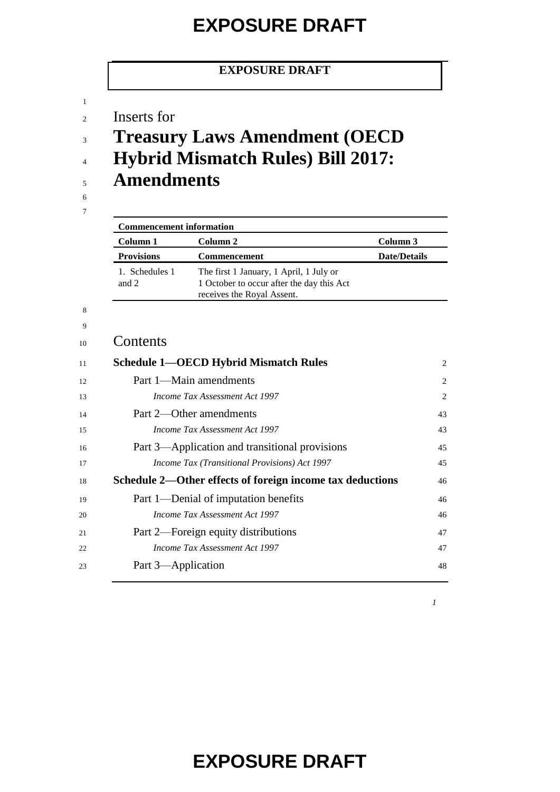#### **EXPOSURE DRAFT**

- Inserts for
- **Treasury Laws Amendment (OECD**
- **Hybrid Mismatch Rules) Bill 2017:**
- **Amendments**
- 

 

| <b>Commencement information</b> |                                                                                                                    |                     |
|---------------------------------|--------------------------------------------------------------------------------------------------------------------|---------------------|
| Column 1                        | Column 2                                                                                                           | Column 3            |
| <b>Provisions</b>               | <b>Commencement</b>                                                                                                | <b>Date/Details</b> |
| 1. Schedules 1<br>and 2         | The first 1 January, 1 April, 1 July or<br>1 October to occur after the day this Act<br>receives the Royal Assent. |                     |

#### Contents

| 11 | <b>Schedule 1—OECD Hybrid Mismatch Rules</b>              | 2              |
|----|-----------------------------------------------------------|----------------|
| 12 | Part 1—Main amendments                                    | $\overline{2}$ |
| 13 | Income Tax Assessment Act 1997                            | 2              |
| 14 | Part 2—Other amendments                                   | 43             |
| 15 | Income Tax Assessment Act 1997                            | 43             |
| 16 | Part 3—Application and transitional provisions            | 45             |
| 17 | <i>Income Tax (Transitional Provisions) Act 1997</i>      | 45             |
| 18 | Schedule 2—Other effects of foreign income tax deductions | 46             |
| 19 | Part 1—Denial of imputation benefits                      | 46             |
| 20 | <i>Income Tax Assessment Act 1997</i>                     | 46             |
| 21 | Part 2—Foreign equity distributions                       | 47             |
| 22 | <i>Income Tax Assessment Act 1997</i>                     | 47             |
| 23 | Part 3—Application                                        | 48             |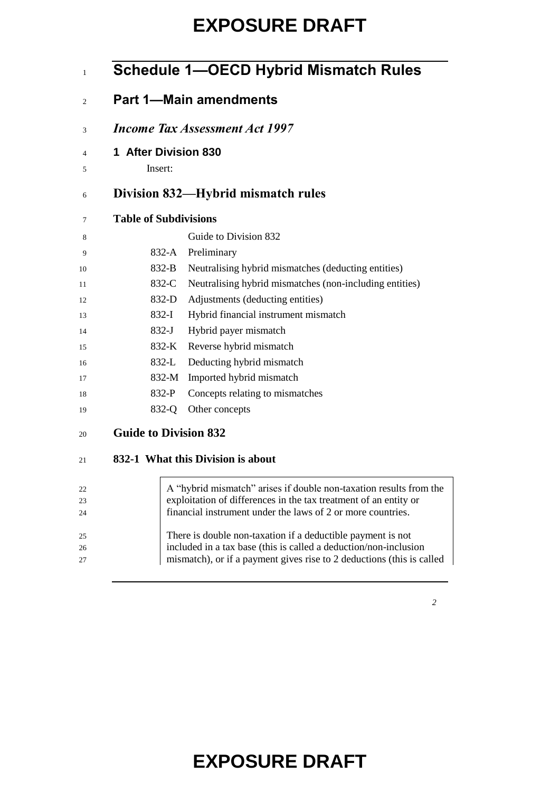|                              | <b>Schedule 1-OECD Hybrid Mismatch Rules</b>                          |
|------------------------------|-----------------------------------------------------------------------|
|                              | <b>Part 1-Main amendments</b>                                         |
|                              | <i>Income Tax Assessment Act 1997</i>                                 |
| 1 After Division 830         |                                                                       |
| Insert:                      |                                                                       |
|                              | Division 832—Hybrid mismatch rules                                    |
| <b>Table of Subdivisions</b> |                                                                       |
|                              | Guide to Division 832                                                 |
| 832-A                        | Preliminary                                                           |
| 832-B                        | Neutralising hybrid mismatches (deducting entities)                   |
| 832-C                        | Neutralising hybrid mismatches (non-including entities)               |
| 832-D                        | Adjustments (deducting entities)                                      |
| $832-I$                      | Hybrid financial instrument mismatch                                  |
| $832-J$                      | Hybrid payer mismatch                                                 |
| 832-K                        | Reverse hybrid mismatch                                               |
| $832-L$                      | Deducting hybrid mismatch                                             |
| 832-M                        | Imported hybrid mismatch                                              |
| 832-P                        | Concepts relating to mismatches                                       |
| 832-Q                        | Other concepts                                                        |
| <b>Guide to Division 832</b> |                                                                       |
|                              | 832-1 What this Division is about                                     |
|                              | A "hybrid mismatch" arises if double non-taxation results from the    |
|                              | exploitation of differences in the tax treatment of an entity or      |
|                              | financial instrument under the laws of 2 or more countries.           |
|                              | There is double non-taxation if a deductible payment is not           |
|                              | included in a tax base (this is called a deduction/non-inclusion      |
|                              | mismatch), or if a payment gives rise to 2 deductions (this is called |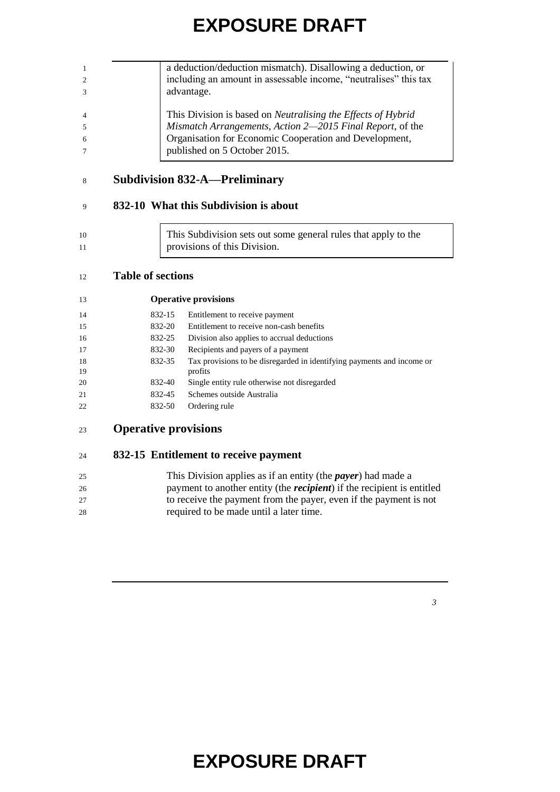|                | a deduction/deduction mismatch). Disallowing a deduction, or        |
|----------------|---------------------------------------------------------------------|
| $\overline{2}$ | including an amount in assessable income, "neutralises" this tax    |
| 3              | advantage.                                                          |
|                |                                                                     |
| $\overline{4}$ | This Division is based on <i>Neutralising the Effects of Hybrid</i> |
| 5              | Mismatch Arrangements, Action 2-2015 Final Report, of the           |
| 6              | Organisation for Economic Cooperation and Development,              |
| $\tau$         | published on 5 October 2015.                                        |
|                |                                                                     |

#### **Subdivision 832-A—Preliminary**

#### **832-10 What this Subdivision is about**

| 10 | This Subdivision sets out some general rules that apply to the |
|----|----------------------------------------------------------------|
|    | provisions of this Division.                                   |

#### **Table of sections**

| 13       |        | <b>Operative provisions</b>                                                       |
|----------|--------|-----------------------------------------------------------------------------------|
| 14       | 832-15 | Entitlement to receive payment                                                    |
| 15       | 832-20 | Entitlement to receive non-cash benefits                                          |
| 16       | 832-25 | Division also applies to accrual deductions                                       |
| 17       | 832-30 | Recipients and payers of a payment                                                |
| 18<br>19 | 832-35 | Tax provisions to be disregarded in identifying payments and income or<br>profits |
| 20       | 832-40 | Single entity rule otherwise not disregarded                                      |
| 21       | 832-45 | Schemes outside Australia                                                         |
| 22       | 832-50 | Ordering rule                                                                     |

**Operative provisions**

#### **832-15 Entitlement to receive payment**

| 25 | This Division applies as if an entity (the <i>payer</i> ) had made a           |
|----|--------------------------------------------------------------------------------|
| 26 | payment to another entity (the <i>recipient</i> ) if the recipient is entitled |
| 27 | to receive the payment from the payer, even if the payment is not              |
| 28 | required to be made until a later time.                                        |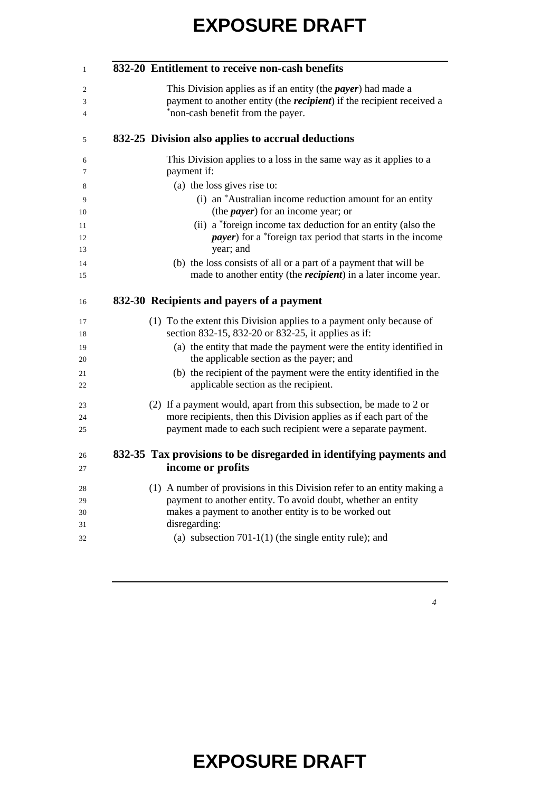| 832-20 Entitlement to receive non-cash benefits                                                                                                                                            |
|--------------------------------------------------------------------------------------------------------------------------------------------------------------------------------------------|
| This Division applies as if an entity (the <i>payer</i> ) had made a<br>payment to another entity (the <i>recipient</i> ) if the recipient received a<br>*non-cash benefit from the payer. |
| 832-25 Division also applies to accrual deductions                                                                                                                                         |
| This Division applies to a loss in the same way as it applies to a<br>payment if:                                                                                                          |
| (a) the loss gives rise to:                                                                                                                                                                |
| (i) an *Australian income reduction amount for an entity<br>(the <i>payer</i> ) for an income year; or                                                                                     |
| (ii) a *foreign income tax deduction for an entity (also the<br><i>payer</i> ) for a *foreign tax period that starts in the income<br>year; and                                            |
| (b) the loss consists of all or a part of a payment that will be<br>made to another entity (the <i>recipient</i> ) in a later income year.                                                 |
| 832-30 Recipients and payers of a payment                                                                                                                                                  |
| (1) To the extent this Division applies to a payment only because of<br>section 832-15, 832-20 or 832-25, it applies as if:                                                                |
| (a) the entity that made the payment were the entity identified in<br>the applicable section as the payer; and                                                                             |
| (b) the recipient of the payment were the entity identified in the<br>applicable section as the recipient.                                                                                 |
| (2) If a payment would, apart from this subsection, be made to 2 or                                                                                                                        |
| more recipients, then this Division applies as if each part of the<br>payment made to each such recipient were a separate payment.                                                         |
| 832-35 Tax provisions to be disregarded in identifying payments and                                                                                                                        |
| income or profits                                                                                                                                                                          |
|                                                                                                                                                                                            |
| (1) A number of provisions in this Division refer to an entity making a                                                                                                                    |
| payment to another entity. To avoid doubt, whether an entity                                                                                                                               |
| makes a payment to another entity is to be worked out<br>disregarding:                                                                                                                     |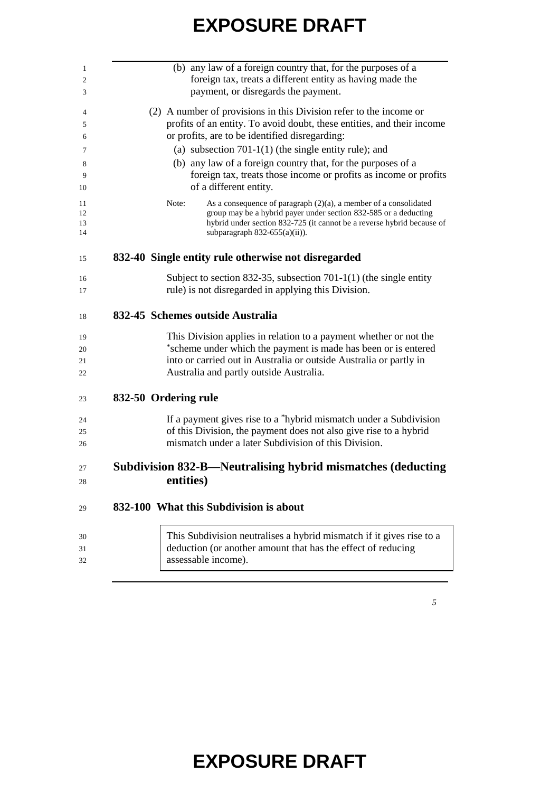| (b) any law of a foreign country that, for the purposes of a<br>foreign tax, treats a different entity as having made the<br>payment, or disregards the payment.                                                                                            |
|-------------------------------------------------------------------------------------------------------------------------------------------------------------------------------------------------------------------------------------------------------------|
| (2) A number of provisions in this Division refer to the income or<br>profits of an entity. To avoid doubt, these entities, and their income<br>or profits, are to be identified disregarding:                                                              |
| (a) subsection $701-1(1)$ (the single entity rule); and                                                                                                                                                                                                     |
| (b) any law of a foreign country that, for the purposes of a<br>foreign tax, treats those income or profits as income or profits<br>of a different entity.                                                                                                  |
| As a consequence of paragraph $(2)(a)$ , a member of a consolidated<br>Note:<br>group may be a hybrid payer under section 832-585 or a deducting<br>hybrid under section 832-725 (it cannot be a reverse hybrid because of<br>subparagraph 832-655(a)(ii)). |
| 832-40 Single entity rule otherwise not disregarded                                                                                                                                                                                                         |
| Subject to section 832-35, subsection 701-1(1) (the single entity<br>rule) is not disregarded in applying this Division.                                                                                                                                    |
| 832-45 Schemes outside Australia                                                                                                                                                                                                                            |
| This Division applies in relation to a payment whether or not the<br>*scheme under which the payment is made has been or is entered<br>into or carried out in Australia or outside Australia or partly in<br>Australia and partly outside Australia.        |
| 832-50 Ordering rule                                                                                                                                                                                                                                        |
|                                                                                                                                                                                                                                                             |
| If a payment gives rise to a *hybrid mismatch under a Subdivision<br>of this Division, the payment does not also give rise to a hybrid                                                                                                                      |
| mismatch under a later Subdivision of this Division.                                                                                                                                                                                                        |
| Subdivision 832-B-Neutralising hybrid mismatches (deducting                                                                                                                                                                                                 |
| entities)                                                                                                                                                                                                                                                   |
| 832-100 What this Subdivision is about                                                                                                                                                                                                                      |
|                                                                                                                                                                                                                                                             |
| This Subdivision neutralises a hybrid mismatch if it gives rise to a                                                                                                                                                                                        |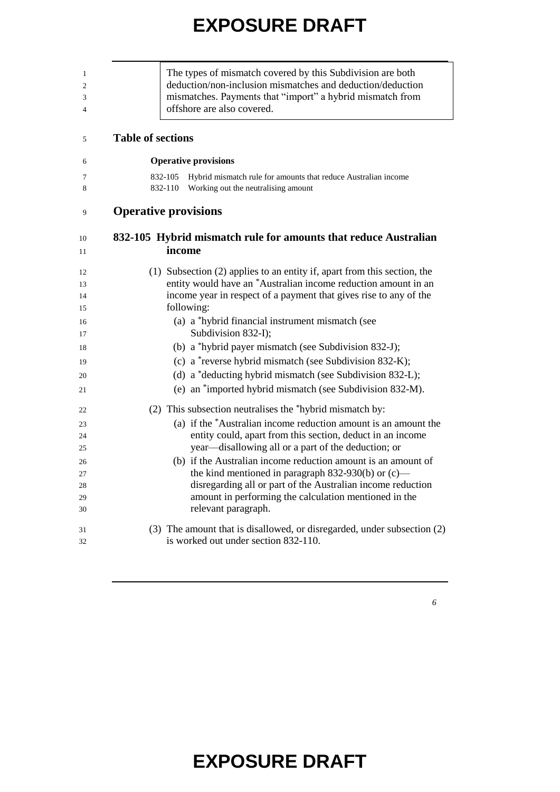| The types of mismatch covered by this Subdivision are both<br>deduction/non-inclusion mismatches and deduction/deduction<br>mismatches. Payments that "import" a hybrid mismatch from<br>offshore are also covered. |
|---------------------------------------------------------------------------------------------------------------------------------------------------------------------------------------------------------------------|
| <b>Table of sections</b>                                                                                                                                                                                            |
| <b>Operative provisions</b>                                                                                                                                                                                         |
| Hybrid mismatch rule for amounts that reduce Australian income<br>832-105                                                                                                                                           |
| 832-110<br>Working out the neutralising amount                                                                                                                                                                      |
| <b>Operative provisions</b>                                                                                                                                                                                         |
| 832-105 Hybrid mismatch rule for amounts that reduce Australian<br>income                                                                                                                                           |
| (1) Subsection (2) applies to an entity if, apart from this section, the                                                                                                                                            |
| entity would have an *Australian income reduction amount in an                                                                                                                                                      |
| income year in respect of a payment that gives rise to any of the<br>following:                                                                                                                                     |
| (a) a *hybrid financial instrument mismatch (see                                                                                                                                                                    |
| Subdivision 832-I);                                                                                                                                                                                                 |
| (b) a *hybrid payer mismatch (see Subdivision 832-J);                                                                                                                                                               |
| (c) a *reverse hybrid mismatch (see Subdivision 832-K);                                                                                                                                                             |
| (d) a *deducting hybrid mismatch (see Subdivision 832-L);                                                                                                                                                           |
| (e) an *imported hybrid mismatch (see Subdivision 832-M).                                                                                                                                                           |
| (2) This subsection neutralises the *hybrid mismatch by:                                                                                                                                                            |
| (a) if the *Australian income reduction amount is an amount the                                                                                                                                                     |
| entity could, apart from this section, deduct in an income                                                                                                                                                          |
| year—disallowing all or a part of the deduction; or                                                                                                                                                                 |
| (b) if the Australian income reduction amount is an amount of                                                                                                                                                       |
| the kind mentioned in paragraph $832-930(b)$ or (c)—                                                                                                                                                                |
| disregarding all or part of the Australian income reduction<br>amount in performing the calculation mentioned in the                                                                                                |
| relevant paragraph.                                                                                                                                                                                                 |
| (3) The amount that is disallowed, or disregarded, under subsection (2)                                                                                                                                             |
| is worked out under section 832-110.                                                                                                                                                                                |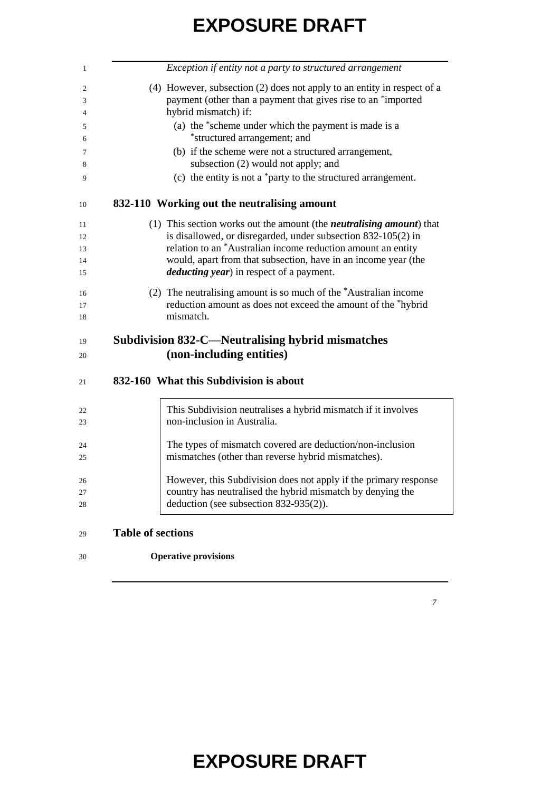| Exception if entity not a party to structured arrangement                                               |
|---------------------------------------------------------------------------------------------------------|
| (4) However, subsection (2) does not apply to an entity in respect of a                                 |
| payment (other than a payment that gives rise to an *imported<br>hybrid mismatch) if:                   |
|                                                                                                         |
| (a) the *scheme under which the payment is made is a<br>*structured arrangement; and                    |
| (b) if the scheme were not a structured arrangement,                                                    |
| subsection (2) would not apply; and                                                                     |
| (c) the entity is not a *party to the structured arrangement.                                           |
| 832-110 Working out the neutralising amount                                                             |
| (1) This section works out the amount (the <i>neutralising amount</i> ) that                            |
| is disallowed, or disregarded, under subsection 832-105(2) in                                           |
| relation to an *Australian income reduction amount an entity                                            |
| would, apart from that subsection, have in an income year (the                                          |
| <i>deducting year</i> ) in respect of a payment.                                                        |
| (2) The neutralising amount is so much of the *Australian income                                        |
| reduction amount as does not exceed the amount of the *hybrid                                           |
| mismatch.                                                                                               |
| <b>Subdivision 832-C—Neutralising hybrid mismatches</b>                                                 |
| (non-including entities)                                                                                |
|                                                                                                         |
| 832-160 What this Subdivision is about                                                                  |
| This Subdivision neutralises a hybrid mismatch if it involves                                           |
| non-inclusion in Australia.                                                                             |
|                                                                                                         |
| The types of mismatch covered are deduction/non-inclusion                                               |
|                                                                                                         |
| mismatches (other than reverse hybrid mismatches).                                                      |
| However, this Subdivision does not apply if the primary response                                        |
| country has neutralised the hybrid mismatch by denying the<br>deduction (see subsection $832-935(2)$ ). |

#### <sup>29</sup> **Table of sections**

#### 30 **Operative provisions**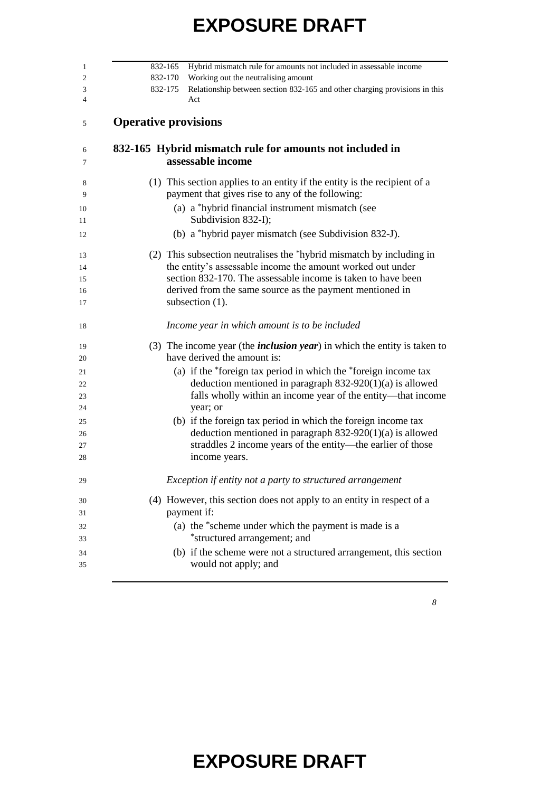| 832-165 Hybrid mismatch rule for amounts not included in assessable income                                                              |
|-----------------------------------------------------------------------------------------------------------------------------------------|
| 832-170<br>Working out the neutralising amount<br>832-175<br>Relationship between section 832-165 and other charging provisions in this |
| Act                                                                                                                                     |
| <b>Operative provisions</b>                                                                                                             |
| 832-165 Hybrid mismatch rule for amounts not included in<br>assessable income                                                           |
| (1) This section applies to an entity if the entity is the recipient of a<br>payment that gives rise to any of the following:           |
| (a) a *hybrid financial instrument mismatch (see<br>Subdivision 832-I);                                                                 |
| (b) a *hybrid payer mismatch (see Subdivision 832-J).                                                                                   |
| (2) This subsection neutralises the *hybrid mismatch by including in                                                                    |
| the entity's assessable income the amount worked out under                                                                              |
| section 832-170. The assessable income is taken to have been                                                                            |
| derived from the same source as the payment mentioned in<br>subsection $(1)$ .                                                          |
| Income year in which amount is to be included                                                                                           |
| (3) The income year (the <i>inclusion year</i> ) in which the entity is taken to<br>have derived the amount is:                         |
| (a) if the *foreign tax period in which the *foreign income tax                                                                         |
| deduction mentioned in paragraph $832-920(1)(a)$ is allowed                                                                             |
| falls wholly within an income year of the entity—that income                                                                            |
| year; or                                                                                                                                |
| (b) if the foreign tax period in which the foreign income tax                                                                           |
| deduction mentioned in paragraph $832-920(1)(a)$ is allowed                                                                             |
| straddles 2 income years of the entity—the earlier of those                                                                             |
| income years.                                                                                                                           |
| Exception if entity not a party to structured arrangement                                                                               |
| (4) However, this section does not apply to an entity in respect of a                                                                   |
| payment if:                                                                                                                             |
| (a) the *scheme under which the payment is made is a                                                                                    |
| *structured arrangement; and                                                                                                            |
| (b) if the scheme were not a structured arrangement, this section<br>would not apply; and                                               |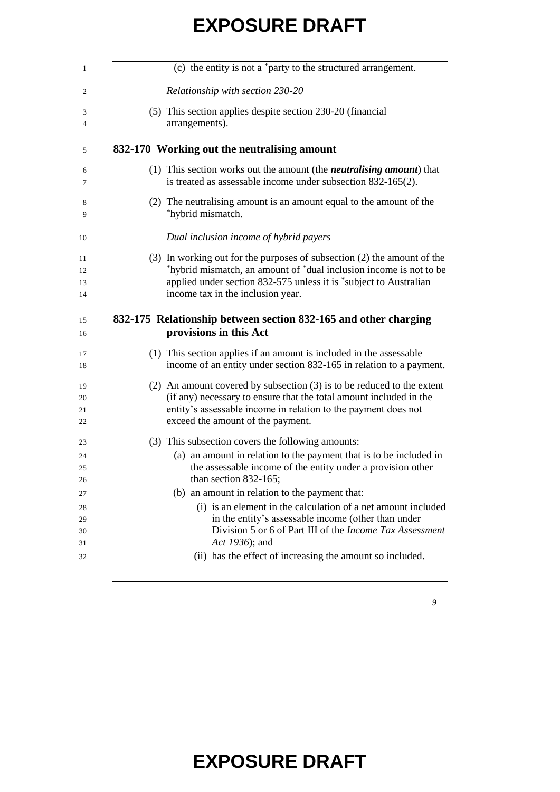| (c) the entity is not a *party to the structured arrangement.                                                                                                                                                                                               |
|-------------------------------------------------------------------------------------------------------------------------------------------------------------------------------------------------------------------------------------------------------------|
| Relationship with section 230-20                                                                                                                                                                                                                            |
| (5) This section applies despite section 230-20 (financial<br>arrangements).                                                                                                                                                                                |
| 832-170 Working out the neutralising amount                                                                                                                                                                                                                 |
| (1) This section works out the amount (the <i>neutralising amount</i> ) that<br>is treated as assessable income under subsection 832-165(2).                                                                                                                |
| (2) The neutralising amount is an amount equal to the amount of the<br>*hybrid mismatch.                                                                                                                                                                    |
| Dual inclusion income of hybrid payers                                                                                                                                                                                                                      |
| $(3)$ In working out for the purposes of subsection $(2)$ the amount of the<br>*hybrid mismatch, an amount of *dual inclusion income is not to be<br>applied under section 832-575 unless it is *subject to Australian<br>income tax in the inclusion year. |
| 832-175 Relationship between section 832-165 and other charging<br>provisions in this Act                                                                                                                                                                   |
| (1) This section applies if an amount is included in the assessable<br>income of an entity under section 832-165 in relation to a payment.                                                                                                                  |
| (2) An amount covered by subsection $(3)$ is to be reduced to the extent<br>(if any) necessary to ensure that the total amount included in the<br>entity's assessable income in relation to the payment does not<br>exceed the amount of the payment.       |
|                                                                                                                                                                                                                                                             |
| (3) This subsection covers the following amounts:<br>(a) an amount in relation to the payment that is to be included in<br>the assessable income of the entity under a provision other<br>than section 832-165;                                             |
| (b) an amount in relation to the payment that:                                                                                                                                                                                                              |
| (i) is an element in the calculation of a net amount included<br>in the entity's assessable income (other than under<br>Division 5 or 6 of Part III of the <i>Income Tax Assessment</i><br>Act 1936); and                                                   |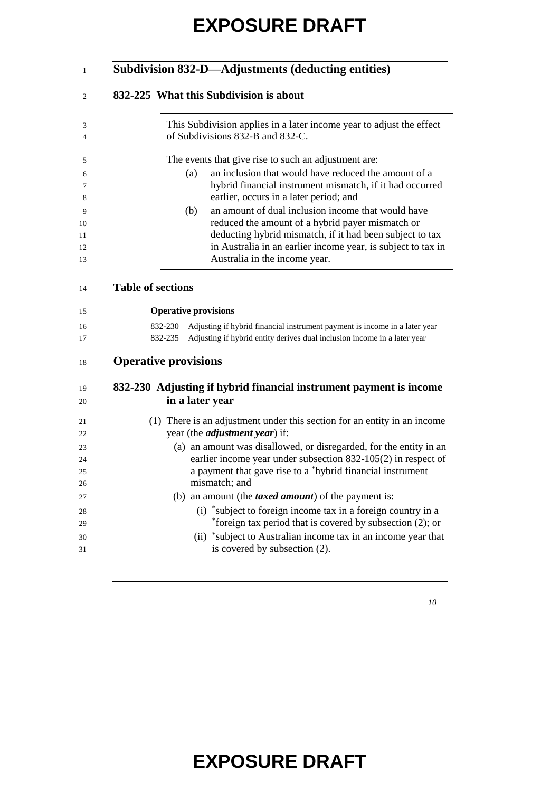#### **Subdivision 832-D—Adjustments (deducting entities)**

#### **832-225 What this Subdivision is about**

|              |     | This Subdivision applies in a later income year to adjust the effect<br>of Subdivisions 832-B and 832-C. |
|--------------|-----|----------------------------------------------------------------------------------------------------------|
|              |     | The events that give rise to such an adjustment are:                                                     |
| 6            | (a) | an inclusion that would have reduced the amount of a                                                     |
|              |     | hybrid financial instrument mismatch, if it had occurred                                                 |
|              |     | earlier, occurs in a later period; and                                                                   |
| $\mathbf{Q}$ | (b) | an amount of dual inclusion income that would have                                                       |
| 10           |     | reduced the amount of a hybrid payer mismatch or                                                         |
| 11           |     | deducting hybrid mismatch, if it had been subject to tax                                                 |
| 12           |     | in Australia in an earlier income year, is subject to tax in                                             |
| 13           |     | Australia in the income year.                                                                            |

#### **Table of sections**

**Operative provisions**

| 16 | 832-230 Adjusting if hybrid financial instrument payment is income in a later year |
|----|------------------------------------------------------------------------------------|
| 17 | 832-235 Adjusting if hybrid entity derives dual inclusion income in a later year   |

#### **Operative provisions**

#### **832-230 Adjusting if hybrid financial instrument payment is income in a later year**

| 21 | (1) There is an adjustment under this section for an entity in an income |
|----|--------------------------------------------------------------------------|
| 22 | year (the <i>adjustment year</i> ) if:                                   |
| 23 | (a) an amount was disallowed, or disregarded, for the entity in an       |
| 24 | earlier income year under subsection $832-105(2)$ in respect of          |
| 25 | a payment that gave rise to a *hybrid financial instrument               |
| 26 | mismatch; and                                                            |
| 27 | (b) an amount (the <i>taxed amount</i> ) of the payment is:              |
| 28 | (i) *subject to foreign income tax in a foreign country in a             |
| 29 | *foreign tax period that is covered by subsection $(2)$ ; or             |
| 30 | (ii) *subject to Australian income tax in an income year that            |
| 31 | is covered by subsection (2).                                            |
|    |                                                                          |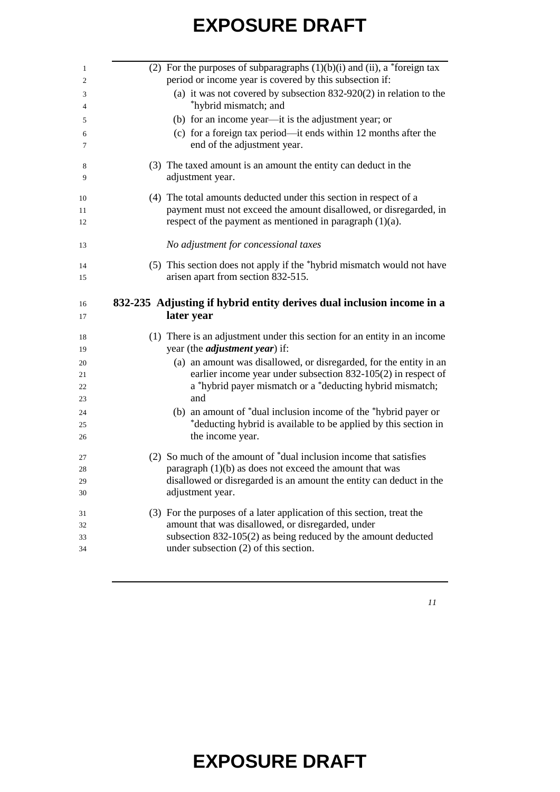|  | (2) For the purposes of subparagraphs $(1)(b)(i)$ and $(ii)$ , a *foreign tax<br>period or income year is covered by this subsection if:                                                    |
|--|---------------------------------------------------------------------------------------------------------------------------------------------------------------------------------------------|
|  | (a) it was not covered by subsection $832-920(2)$ in relation to the                                                                                                                        |
|  | *hybrid mismatch; and                                                                                                                                                                       |
|  |                                                                                                                                                                                             |
|  | (b) for an income year-it is the adjustment year; or                                                                                                                                        |
|  | (c) for a foreign tax period—it ends within 12 months after the<br>end of the adjustment year.                                                                                              |
|  | (3) The taxed amount is an amount the entity can deduct in the<br>adjustment year.                                                                                                          |
|  | (4) The total amounts deducted under this section in respect of a                                                                                                                           |
|  | payment must not exceed the amount disallowed, or disregarded, in                                                                                                                           |
|  | respect of the payment as mentioned in paragraph $(1)(a)$ .                                                                                                                                 |
|  | No adjustment for concessional taxes                                                                                                                                                        |
|  | (5) This section does not apply if the *hybrid mismatch would not have                                                                                                                      |
|  |                                                                                                                                                                                             |
|  | arisen apart from section 832-515.                                                                                                                                                          |
|  |                                                                                                                                                                                             |
|  | 832-235 Adjusting if hybrid entity derives dual inclusion income in a<br>later year                                                                                                         |
|  | (1) There is an adjustment under this section for an entity in an income                                                                                                                    |
|  | year (the <i>adjustment year</i> ) if:                                                                                                                                                      |
|  | (a) an amount was disallowed, or disregarded, for the entity in an                                                                                                                          |
|  |                                                                                                                                                                                             |
|  | earlier income year under subsection $832-105(2)$ in respect of<br>a *hybrid payer mismatch or a *deducting hybrid mismatch;                                                                |
|  | and                                                                                                                                                                                         |
|  | (b) an amount of *dual inclusion income of the *hybrid payer or                                                                                                                             |
|  |                                                                                                                                                                                             |
|  | the income year.                                                                                                                                                                            |
|  | (2) So much of the amount of *dual inclusion income that satisfies                                                                                                                          |
|  | paragraph $(1)(b)$ as does not exceed the amount that was                                                                                                                                   |
|  |                                                                                                                                                                                             |
|  | adjustment year.                                                                                                                                                                            |
|  | (3) For the purposes of a later application of this section, treat the                                                                                                                      |
|  | *deducting hybrid is available to be applied by this section in<br>disallowed or disregarded is an amount the entity can deduct in the<br>amount that was disallowed, or disregarded, under |
|  | subsection $832-105(2)$ as being reduced by the amount deducted<br>under subsection $(2)$ of this section.                                                                                  |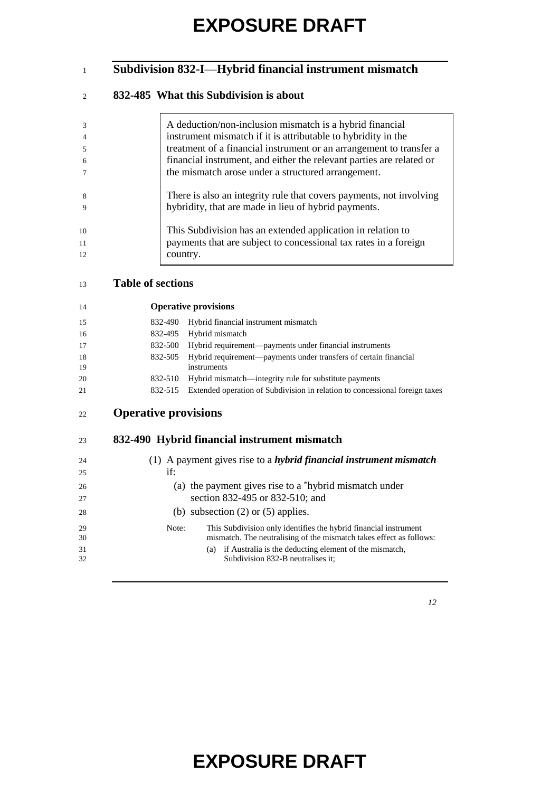#### **Subdivision 832-I—Hybrid financial instrument mismatch**

#### **832-485 What this Subdivision is about**

|             | A deduction/non-inclusion mismatch is a hybrid financial             |
|-------------|----------------------------------------------------------------------|
|             | instrument mismatch if it is attributable to hybridity in the        |
|             | treatment of a financial instrument or an arrangement to transfer a  |
| -6          | financial instrument, and either the relevant parties are related or |
|             | the mismatch arose under a structured arrangement.                   |
|             |                                                                      |
| 8           | There is also an integrity rule that covers payments, not involving  |
| $\mathbf Q$ | hybridity, that are made in lieu of hybrid payments.                 |
|             |                                                                      |
| 10          | This Subdivision has an extended application in relation to          |
| 11          | payments that are subject to concessional tax rates in a foreign     |
| 12          | country.                                                             |
|             |                                                                      |

#### **Table of sections**

| 14        | <b>Operative provisions</b>                                                                |
|-----------|--------------------------------------------------------------------------------------------|
| 15        | Hybrid financial instrument mismatch<br>832-490                                            |
| 16        | Hybrid mismatch<br>832-495                                                                 |
| 17        | Hybrid requirement—payments under financial instruments<br>832-500                         |
| -18<br>19 | Hybrid requirement—payments under transfers of certain financial<br>832-505<br>instruments |
| 20        | Hybrid mismatch—integrity rule for substitute payments<br>832-510                          |
| 21        | Extended operation of Subdivision in relation to concessional foreign taxes<br>832-515     |

| 22 | <b>Operative provisions</b> |
|----|-----------------------------|
|    |                             |

#### **832-490 Hybrid financial instrument mismatch**

| 24 | (1) A payment gives rise to a <i>hybrid financial instrument mismatch</i> |
|----|---------------------------------------------------------------------------|
| 25 | if:                                                                       |
| 26 | (a) the payment gives rise to a $*$ hybrid mismatch under                 |
| 27 | section 832-495 or 832-510; and                                           |
| 28 | (b) subsection $(2)$ or $(5)$ applies.                                    |
| 29 | This Subdivision only identifies the hybrid financial instrument<br>Note: |
| 30 | mismatch. The neutralising of the mismatch takes effect as follows:       |
| 31 | if Australia is the deducting element of the mismatch,<br>(a)             |
| 32 | Subdivision 832-B neutralises it:                                         |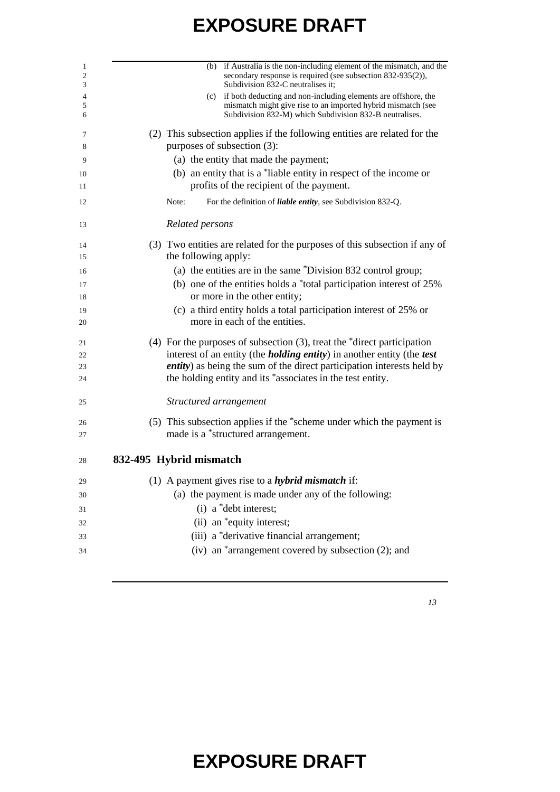| 1<br>2<br>3 | (b) if Australia is the non-including element of the mismatch, and the<br>secondary response is required (see subsection 832-935(2)),<br>Subdivision 832-C neutralises it;                    |
|-------------|-----------------------------------------------------------------------------------------------------------------------------------------------------------------------------------------------|
| 4<br>5<br>6 | (c) if both deducting and non-including elements are offshore, the<br>mismatch might give rise to an imported hybrid mismatch (see<br>Subdivision 832-M) which Subdivision 832-B neutralises. |
| 7<br>8      | (2) This subsection applies if the following entities are related for the<br>purposes of subsection (3):                                                                                      |
| 9           | (a) the entity that made the payment;                                                                                                                                                         |
| 10          | (b) an entity that is a *liable entity in respect of the income or                                                                                                                            |
| 11          | profits of the recipient of the payment.                                                                                                                                                      |
| 12          | For the definition of liable entity, see Subdivision 832-Q.<br>Note:                                                                                                                          |
| 13          | Related persons                                                                                                                                                                               |
| 14          | (3) Two entities are related for the purposes of this subsection if any of                                                                                                                    |
| 15          | the following apply:                                                                                                                                                                          |
| 16          | (a) the entities are in the same *Division 832 control group;                                                                                                                                 |
| 17          | (b) one of the entities holds a $*$ total participation interest of 25%                                                                                                                       |
| 18          | or more in the other entity;                                                                                                                                                                  |
| 19<br>20    | (c) a third entity holds a total participation interest of 25% or<br>more in each of the entities.                                                                                            |
| 21          | (4) For the purposes of subsection $(3)$ , treat the $\alpha$ direct participation                                                                                                            |
| 22          | interest of an entity (the <i>holding entity</i> ) in another entity (the <i>test</i>                                                                                                         |
| 23<br>24    | <i>entity</i> ) as being the sum of the direct participation interests held by<br>the holding entity and its *associates in the test entity.                                                  |
| 25          | Structured arrangement                                                                                                                                                                        |
| 26          | (5) This subsection applies if the *scheme under which the payment is                                                                                                                         |
| 27          | made is a *structured arrangement.                                                                                                                                                            |
| 28          | 832-495 Hybrid mismatch                                                                                                                                                                       |
| 29          | (1) A payment gives rise to a <i>hybrid mismatch</i> if:                                                                                                                                      |
| 30          | (a) the payment is made under any of the following:                                                                                                                                           |
| 31          | $(i)$ a *debt interest;                                                                                                                                                                       |
| 32          | (ii) an *equity interest;                                                                                                                                                                     |
| 33          | (iii) a *derivative financial arrangement;                                                                                                                                                    |
| 34          | (iv) an <sup>*</sup> arrangement covered by subsection (2); and                                                                                                                               |
|             |                                                                                                                                                                                               |

*13*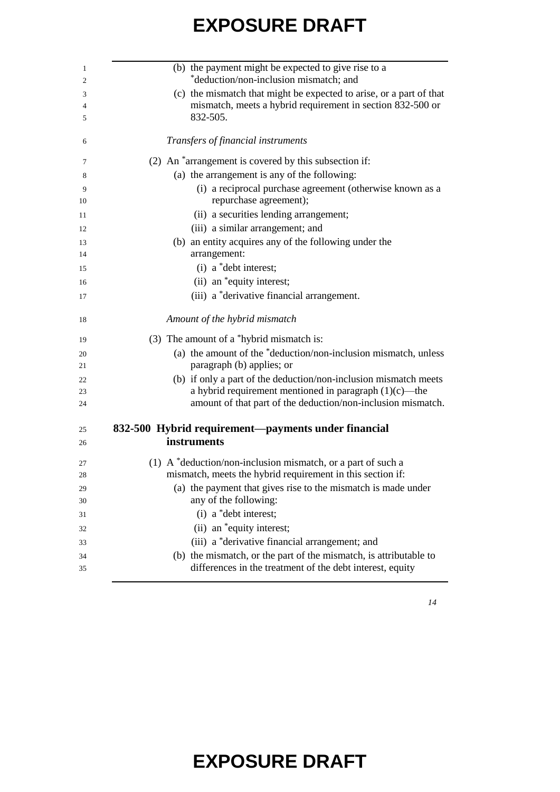| (b) the payment might be expected to give rise to a<br>*deduction/non-inclusion mismatch; and                                  |
|--------------------------------------------------------------------------------------------------------------------------------|
| (c) the mismatch that might be expected to arise, or a part of that                                                            |
| mismatch, meets a hybrid requirement in section 832-500 or                                                                     |
| 832-505.                                                                                                                       |
| Transfers of financial instruments                                                                                             |
| (2) An *arrangement is covered by this subsection if:                                                                          |
| (a) the arrangement is any of the following:                                                                                   |
| (i) a reciprocal purchase agreement (otherwise known as a                                                                      |
| repurchase agreement);                                                                                                         |
| (ii) a securities lending arrangement;                                                                                         |
| (iii) a similar arrangement; and                                                                                               |
| (b) an entity acquires any of the following under the<br>arrangement:                                                          |
| (i) a *debt interest;                                                                                                          |
| (ii) an *equity interest;                                                                                                      |
|                                                                                                                                |
| (iii) a *derivative financial arrangement.                                                                                     |
| Amount of the hybrid mismatch                                                                                                  |
| (3) The amount of a *hybrid mismatch is:                                                                                       |
| (a) the amount of the *deduction/non-inclusion mismatch, unless                                                                |
| paragraph (b) applies; or                                                                                                      |
| (b) if only a part of the deduction/non-inclusion mismatch meets                                                               |
| a hybrid requirement mentioned in paragraph $(1)(c)$ —the                                                                      |
| amount of that part of the deduction/non-inclusion mismatch.                                                                   |
| 832-500 Hybrid requirement—payments under financial                                                                            |
| instruments                                                                                                                    |
| (1) A *deduction/non-inclusion mismatch, or a part of such a                                                                   |
| mismatch, meets the hybrid requirement in this section if:                                                                     |
| (a) the payment that gives rise to the mismatch is made under                                                                  |
| any of the following:                                                                                                          |
| (i) a *debt interest;                                                                                                          |
| (ii) an *equity interest;                                                                                                      |
| (iii) a *derivative financial arrangement; and                                                                                 |
| (b) the mismatch, or the part of the mismatch, is attributable to<br>differences in the treatment of the debt interest, equity |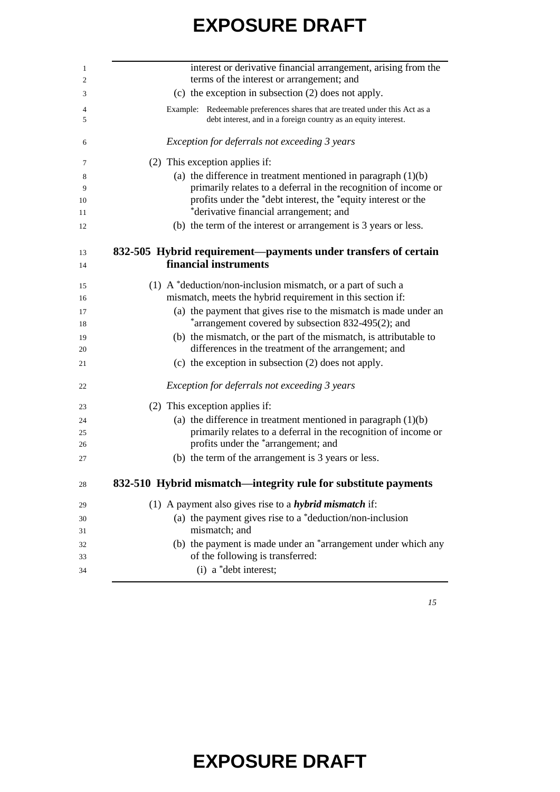| interest or derivative financial arrangement, arising from the<br>terms of the interest or arrangement; and                                   |
|-----------------------------------------------------------------------------------------------------------------------------------------------|
| (c) the exception in subsection $(2)$ does not apply.                                                                                         |
| Example: Redeemable preferences shares that are treated under this Act as a<br>debt interest, and in a foreign country as an equity interest. |
| Exception for deferrals not exceeding 3 years                                                                                                 |
| (2) This exception applies if:                                                                                                                |
| (a) the difference in treatment mentioned in paragraph $(1)(b)$                                                                               |
| primarily relates to a deferral in the recognition of income or                                                                               |
| profits under the *debt interest, the *equity interest or the                                                                                 |
| *derivative financial arrangement; and<br>(b) the term of the interest or arrangement is 3 years or less.                                     |
|                                                                                                                                               |
| 832-505 Hybrid requirement-payments under transfers of certain                                                                                |
| financial instruments                                                                                                                         |
| (1) A $*$ deduction/non-inclusion mismatch, or a part of such a                                                                               |
| mismatch, meets the hybrid requirement in this section if:                                                                                    |
| (a) the payment that gives rise to the mismatch is made under an                                                                              |
| *arrangement covered by subsection 832-495(2); and                                                                                            |
| (b) the mismatch, or the part of the mismatch, is attributable to                                                                             |
| differences in the treatment of the arrangement; and                                                                                          |
| (c) the exception in subsection (2) does not apply.                                                                                           |
| Exception for deferrals not exceeding 3 years                                                                                                 |
| (2) This exception applies if:                                                                                                                |
| (a) the difference in treatment mentioned in paragraph $(1)(b)$                                                                               |
| primarily relates to a deferral in the recognition of income or                                                                               |
| profits under the *arrangement; and                                                                                                           |
| (b) the term of the arrangement is 3 years or less.                                                                                           |
| 832-510 Hybrid mismatch—integrity rule for substitute payments                                                                                |
| (1) A payment also gives rise to a <i>hybrid mismatch</i> if:                                                                                 |
| (a) the payment gives rise to a $*$ deduction/non-inclusion                                                                                   |
| mismatch; and                                                                                                                                 |
| (b) the payment is made under an *arrangement under which any                                                                                 |
| of the following is transferred:<br>(i) a *debt interest;                                                                                     |
|                                                                                                                                               |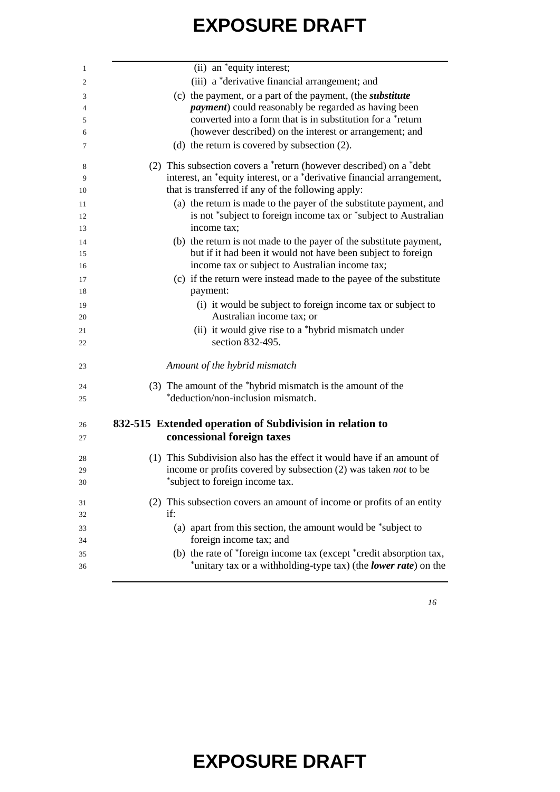| -1             | $(iii)$ an $*$ equity interest;                                        |
|----------------|------------------------------------------------------------------------|
| 2              | (iii) a *derivative financial arrangement; and                         |
| 3              | (c) the payment, or a part of the payment, (the <i>substitute</i>      |
| $\overline{4}$ | <i>payment</i> ) could reasonably be regarded as having been           |
| 5              | converted into a form that is in substitution for a *return            |
| 6              | (however described) on the interest or arrangement; and                |
| 7              | (d) the return is covered by subsection $(2)$ .                        |
| 8              | (2) This subsection covers a *return (however described) on a *debt    |
| 9              | interest, an *equity interest, or a *derivative financial arrangement, |
| 10             | that is transferred if any of the following apply:                     |
| 11             | (a) the return is made to the payer of the substitute payment, and     |
| 12             | is not *subject to foreign income tax or *subject to Australian        |
| 13             | income tax;                                                            |
| 14             | (b) the return is not made to the payer of the substitute payment,     |
| 15             | but if it had been it would not have been subject to foreign           |
| 16             | income tax or subject to Australian income tax;                        |
| 17             | (c) if the return were instead made to the payee of the substitute     |
| 18             | payment:                                                               |
| 19             | (i) it would be subject to foreign income tax or subject to            |
| 20             | Australian income tax; or                                              |
| 21             | (ii) it would give rise to a *hybrid mismatch under                    |
| 22             | section 832-495.                                                       |
|                |                                                                        |
| 23             | Amount of the hybrid mismatch                                          |
| 24             | (3) The amount of the *hybrid mismatch is the amount of the            |
| 25             | *deduction/non-inclusion mismatch.                                     |
|                |                                                                        |
| 26             | 832-515 Extended operation of Subdivision in relation to               |
| 27             | concessional foreign taxes                                             |
| 28             | (1) This Subdivision also has the effect it would have if an amount of |
| 29             | income or profits covered by subsection (2) was taken <i>not</i> to be |
| 30             | *subject to foreign income tax.                                        |
| 31             | (2) This subsection covers an amount of income or profits of an entity |
| 32             | if:                                                                    |
| 33             | (a) apart from this section, the amount would be *subject to           |
| 34             | foreign income tax; and                                                |
| 35             | (b) the rate of *foreign income tax (except *credit absorption tax,    |
| 36             | *unitary tax or a withholding-type tax) (the lower rate) on the        |
|                |                                                                        |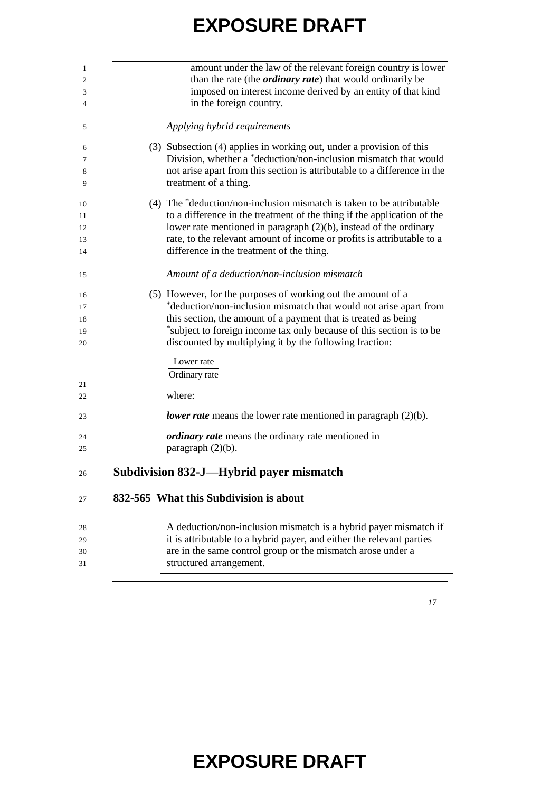| 1              | amount under the law of the relevant foreign country is lower            |
|----------------|--------------------------------------------------------------------------|
| $\mathfrak{2}$ | than the rate (the <i>ordinary rate</i> ) that would ordinarily be       |
| 3              | imposed on interest income derived by an entity of that kind             |
| 4              | in the foreign country.                                                  |
| 5              | Applying hybrid requirements                                             |
| 6              | (3) Subsection (4) applies in working out, under a provision of this     |
| 7              | Division, whether a *deduction/non-inclusion mismatch that would         |
| 8              | not arise apart from this section is attributable to a difference in the |
| 9              | treatment of a thing.                                                    |
| 10             | (4) The *deduction/non-inclusion mismatch is taken to be attributable    |
| 11             | to a difference in the treatment of the thing if the application of the  |
| 12             | lower rate mentioned in paragraph $(2)(b)$ , instead of the ordinary     |
| 13             | rate, to the relevant amount of income or profits is attributable to a   |
| 14             | difference in the treatment of the thing.                                |
| 15             | Amount of a deduction/non-inclusion mismatch                             |
| 16             | (5) However, for the purposes of working out the amount of a             |
| 17             | *deduction/non-inclusion mismatch that would not arise apart from        |
| 18             | this section, the amount of a payment that is treated as being           |
| 19             | *subject to foreign income tax only because of this section is to be     |
| 20             | discounted by multiplying it by the following fraction:                  |
|                | Lower rate                                                               |
|                | Ordinary rate                                                            |
| 21             |                                                                          |
| 22             | where:                                                                   |
| 23             | lower rate means the lower rate mentioned in paragraph $(2)(b)$ .        |
| 24             | <i>ordinary rate</i> means the ordinary rate mentioned in                |
| 25             | paragraph (2)(b).                                                        |
| 26             | <b>Subdivision 832-J—Hybrid payer mismatch</b>                           |
| 27             | 832-565 What this Subdivision is about                                   |
|                |                                                                          |
| 28             | A deduction/non-inclusion mismatch is a hybrid payer mismatch if         |
| 29             | it is attributable to a hybrid payer, and either the relevant parties    |
| 30             | are in the same control group or the mismatch arose under a              |
| 31             | structured arrangement.                                                  |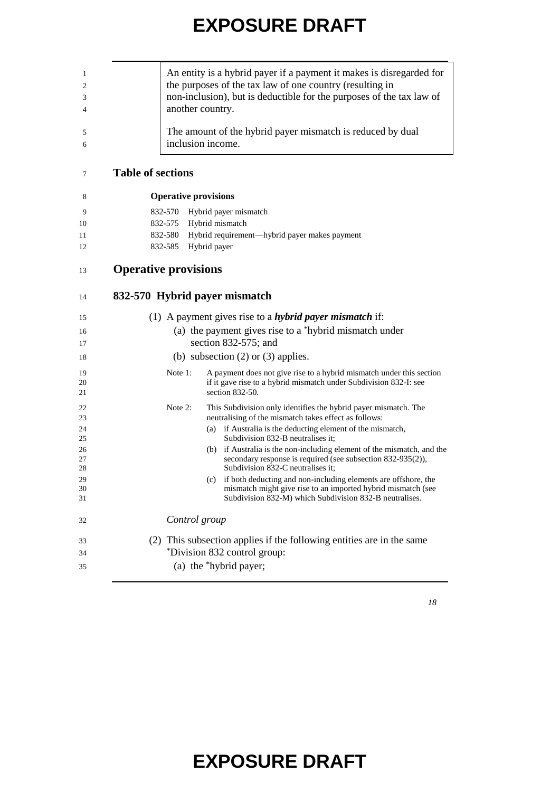|                             |                             | An entity is a hybrid payer if a payment it makes is disregarded for           |
|-----------------------------|-----------------------------|--------------------------------------------------------------------------------|
|                             |                             | the purposes of the tax law of one country (resulting in                       |
|                             |                             |                                                                                |
|                             |                             | non-inclusion), but is deductible for the purposes of the tax law of           |
|                             | another country.            |                                                                                |
|                             |                             | The amount of the hybrid payer mismatch is reduced by dual                     |
|                             | inclusion income.           |                                                                                |
| <b>Table of sections</b>    |                             |                                                                                |
|                             | <b>Operative provisions</b> |                                                                                |
|                             | 832-570                     | Hybrid payer mismatch                                                          |
|                             | 832-575                     | Hybrid mismatch                                                                |
|                             | 832-580                     | Hybrid requirement-hybrid payer makes payment                                  |
|                             |                             |                                                                                |
|                             | 832-585                     | Hybrid payer                                                                   |
| <b>Operative provisions</b> |                             |                                                                                |
|                             |                             | 832-570 Hybrid payer mismatch                                                  |
|                             |                             | (1) A payment gives rise to a <i>hybrid payer mismatch</i> if:                 |
|                             |                             |                                                                                |
|                             |                             | (a) the payment gives rise to a *hybrid mismatch under<br>section 832-575; and |
|                             |                             | (b) subsection $(2)$ or $(3)$ applies.                                         |
|                             | Note 1:                     | A payment does not give rise to a hybrid mismatch under this section           |
|                             |                             | if it gave rise to a hybrid mismatch under Subdivision 832-I: see              |
|                             |                             | section 832-50.                                                                |
|                             | Note 2:                     | This Subdivision only identifies the hybrid payer mismatch. The                |
|                             |                             | neutralising of the mismatch takes effect as follows:                          |
|                             |                             | (a) if Australia is the deducting element of the mismatch,                     |
|                             |                             | Subdivision 832-B neutralises it;                                              |
|                             |                             | if Australia is the non-including element of the mismatch, and the<br>(b)      |
|                             |                             | secondary response is required (see subsection 832-935(2)),                    |
|                             |                             | Subdivision 832-C neutralises it;                                              |
|                             |                             | (c) if both deducting and non-including elements are offshore, the             |
|                             |                             | mismatch might give rise to an imported hybrid mismatch (see                   |
|                             |                             | Subdivision 832-M) which Subdivision 832-B neutralises.                        |
|                             | Control group               |                                                                                |
|                             |                             | (2) This subsection applies if the following entities are in the same          |
|                             |                             | *Division 832 control group:                                                   |
|                             |                             |                                                                                |
|                             |                             | (a) the *hybrid payer;                                                         |
|                             |                             |                                                                                |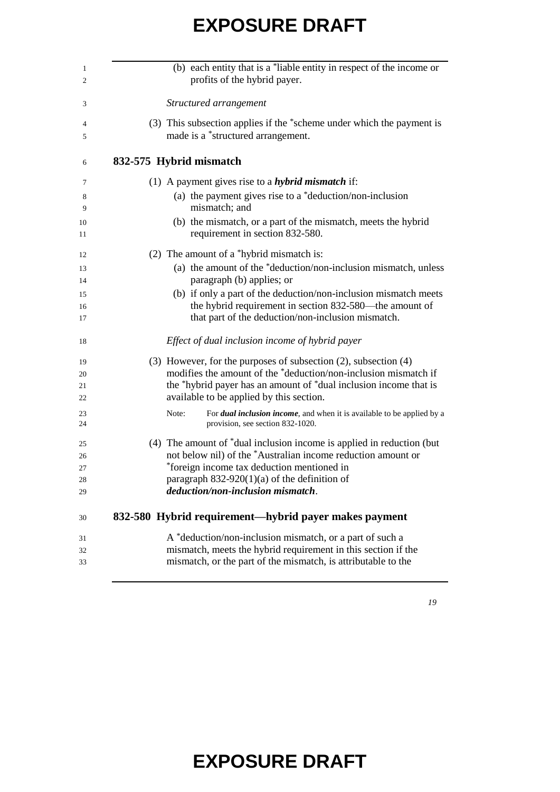| (b) each entity that is a *liable entity in respect of the income or<br>profits of the hybrid payer.                        |
|-----------------------------------------------------------------------------------------------------------------------------|
| Structured arrangement                                                                                                      |
| (3) This subsection applies if the *scheme under which the payment is<br>made is a *structured arrangement.                 |
| 832-575 Hybrid mismatch                                                                                                     |
| (1) A payment gives rise to a <i>hybrid mismatch</i> if:                                                                    |
| (a) the payment gives rise to a $*$ deduction/non-inclusion<br>mismatch; and                                                |
| (b) the mismatch, or a part of the mismatch, meets the hybrid<br>requirement in section 832-580.                            |
| (2) The amount of a *hybrid mismatch is:                                                                                    |
| (a) the amount of the *deduction/non-inclusion mismatch, unless                                                             |
| paragraph (b) applies; or                                                                                                   |
| (b) if only a part of the deduction/non-inclusion mismatch meets                                                            |
| the hybrid requirement in section 832-580—the amount of<br>that part of the deduction/non-inclusion mismatch.               |
| Effect of dual inclusion income of hybrid payer                                                                             |
| (3) However, for the purposes of subsection (2), subsection (4)                                                             |
| modifies the amount of the *deduction/non-inclusion mismatch if                                                             |
| the *hybrid payer has an amount of *dual inclusion income that is<br>available to be applied by this section.               |
| Note:<br>For <i>dual inclusion income</i> , and when it is available to be applied by a<br>provision, see section 832-1020. |
| (4) The amount of $*$ dual inclusion income is applied in reduction (but                                                    |
| not below nil) of the *Australian income reduction amount or                                                                |
| *foreign income tax deduction mentioned in                                                                                  |
| paragraph $832-920(1)(a)$ of the definition of                                                                              |
| deduction/non-inclusion mismatch.                                                                                           |
| 832-580 Hybrid requirement—hybrid payer makes payment                                                                       |
| A *deduction/non-inclusion mismatch, or a part of such a<br>mismatch, meets the hybrid requirement in this section if the   |
|                                                                                                                             |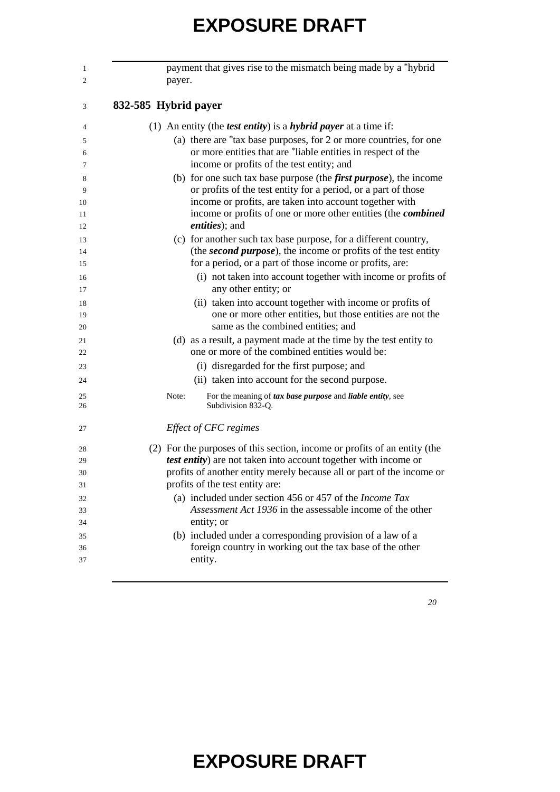| payment that gives rise to the mismatch being made by a *hybrid<br>payer.                                                                   |
|---------------------------------------------------------------------------------------------------------------------------------------------|
| 832-585 Hybrid payer                                                                                                                        |
| (1) An entity (the <i>test entity</i> ) is a <i>hybrid payer</i> at a time if:                                                              |
| (a) there are *tax base purposes, for 2 or more countries, for one<br>or more entities that are *liable entities in respect of the          |
| income or profits of the test entity; and                                                                                                   |
| (b) for one such tax base purpose (the <i>first purpose</i> ), the income<br>or profits of the test entity for a period, or a part of those |
| income or profits, are taken into account together with                                                                                     |
| income or profits of one or more other entities (the combined<br>entities); and                                                             |
| (c) for another such tax base purpose, for a different country,                                                                             |
| (the second purpose), the income or profits of the test entity                                                                              |
| for a period, or a part of those income or profits, are:                                                                                    |
| (i) not taken into account together with income or profits of<br>any other entity; or                                                       |
| (ii) taken into account together with income or profits of                                                                                  |
| one or more other entities, but those entities are not the<br>same as the combined entities; and                                            |
| (d) as a result, a payment made at the time by the test entity to                                                                           |
| one or more of the combined entities would be:                                                                                              |
| (i) disregarded for the first purpose; and                                                                                                  |
| (ii) taken into account for the second purpose.                                                                                             |
| For the meaning of tax base purpose and liable entity, see<br>Note:<br>Subdivision 832-Q.                                                   |
| Effect of CFC regimes                                                                                                                       |
| (2) For the purposes of this section, income or profits of an entity (the                                                                   |
| test entity) are not taken into account together with income or                                                                             |
| profits of another entity merely because all or part of the income or                                                                       |
| profits of the test entity are:                                                                                                             |
| (a) included under section 456 or 457 of the <i>Income Tax</i>                                                                              |
| Assessment Act 1936 in the assessable income of the other                                                                                   |
| entity; or                                                                                                                                  |
| (b) included under a corresponding provision of a law of a                                                                                  |
| foreign country in working out the tax base of the other                                                                                    |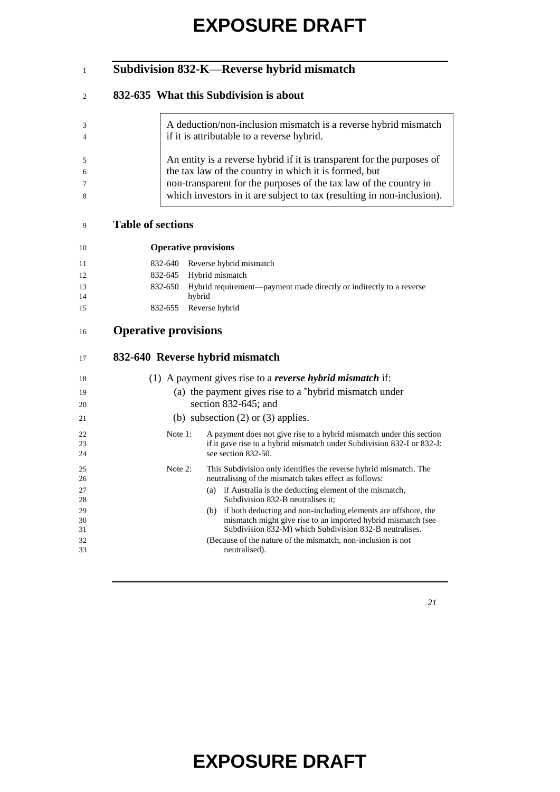#### **Subdivision 832-K—Reverse hybrid mismatch**

#### **832-635 What this Subdivision is about**

| 3<br>$\overline{4}$ | A deduction/non-inclusion mismatch is a reverse hybrid mismatch<br>if it is attributable to a reverse hybrid. |
|---------------------|---------------------------------------------------------------------------------------------------------------|
| .5                  | An entity is a reverse hybrid if it is transparent for the purposes of                                        |
| 6                   | the tax law of the country in which it is formed, but                                                         |
| $\tau$              | non-transparent for the purposes of the tax law of the country in                                             |
| 8                   | which investors in it are subject to tax (resulting in non-inclusion).                                        |
|                     |                                                                                                               |

#### **Table of sections**

| 10       | <b>Operative provisions</b>                                                           |
|----------|---------------------------------------------------------------------------------------|
| 11       | 832-640 Reverse hybrid mismatch                                                       |
| 12       | 832-645 Hybrid mismatch                                                               |
| 13<br>14 | 832-650 Hybrid requirement—payment made directly or indirectly to a reverse<br>hybrid |
| 15       | 832-655 Reverse hybrid                                                                |

#### **Operative provisions**

#### **832-640 Reverse hybrid mismatch**

| 18 |            | (1) A payment gives rise to a <i>reverse hybrid mismatch</i> if:       |
|----|------------|------------------------------------------------------------------------|
| 19 |            | (a) the payment gives rise to a $*$ hybrid mismatch under              |
| 20 |            | section $832-645$ ; and                                                |
| 21 |            | (b) subsection $(2)$ or $(3)$ applies.                                 |
| 22 | Note $1$ : | A payment does not give rise to a hybrid mismatch under this section   |
| 23 |            | if it gave rise to a hybrid mismatch under Subdivision 832-I or 832-J: |
| 24 |            | see section 832-50.                                                    |
| 25 | Note $2$ : | This Subdivision only identifies the reverse hybrid mismatch. The      |
| 26 |            | neutralising of the mismatch takes effect as follows:                  |
| 27 |            | if Australia is the deducting element of the mismatch,<br>(a)          |
| 28 |            | Subdivision 832-B neutralises it;                                      |
| 29 |            | (b) if both deducting and non-including elements are offshore, the     |
| 30 |            | mismatch might give rise to an imported hybrid mismatch (see           |
| 31 |            | Subdivision 832-M) which Subdivision 832-B neutralises.                |
| 32 |            | (Because of the nature of the mismatch, non-inclusion is not           |
| 33 |            | neutralised).                                                          |
|    |            |                                                                        |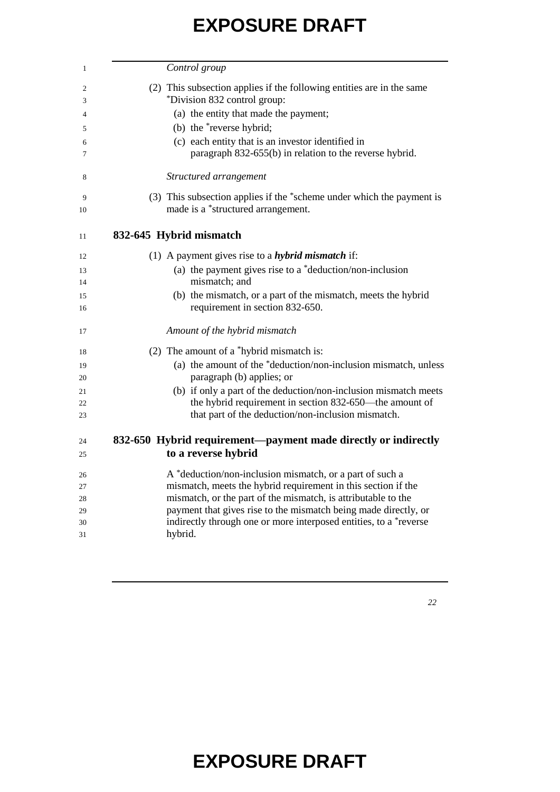| Control group                                                                                         |
|-------------------------------------------------------------------------------------------------------|
| (2) This subsection applies if the following entities are in the same<br>*Division 832 control group: |
| (a) the entity that made the payment;                                                                 |
| (b) the *reverse hybrid;                                                                              |
| (c) each entity that is an investor identified in                                                     |
| paragraph 832-655(b) in relation to the reverse hybrid.                                               |
| Structured arrangement                                                                                |
| (3) This subsection applies if the *scheme under which the payment is                                 |
| made is a *structured arrangement.                                                                    |
| 832-645 Hybrid mismatch                                                                               |
| (1) A payment gives rise to a <i>hybrid mismatch</i> if:                                              |
| (a) the payment gives rise to a $*$ deduction/non-inclusion                                           |
| mismatch; and                                                                                         |
| (b) the mismatch, or a part of the mismatch, meets the hybrid                                         |
| requirement in section 832-650.                                                                       |
| Amount of the hybrid mismatch                                                                         |
| (2) The amount of a *hybrid mismatch is:                                                              |
| (a) the amount of the *deduction/non-inclusion mismatch, unless                                       |
| paragraph (b) applies; or                                                                             |
| (b) if only a part of the deduction/non-inclusion mismatch meets                                      |
| the hybrid requirement in section 832-650—the amount of                                               |
| that part of the deduction/non-inclusion mismatch.                                                    |
| 832-650 Hybrid requirement—payment made directly or indirectly                                        |
| to a reverse hybrid                                                                                   |
| A *deduction/non-inclusion mismatch, or a part of such a                                              |
| mismatch, meets the hybrid requirement in this section if the                                         |
| mismatch, or the part of the mismatch, is attributable to the                                         |
| payment that gives rise to the mismatch being made directly, or                                       |
| indirectly through one or more interposed entities, to a *reverse<br>hybrid.                          |
|                                                                                                       |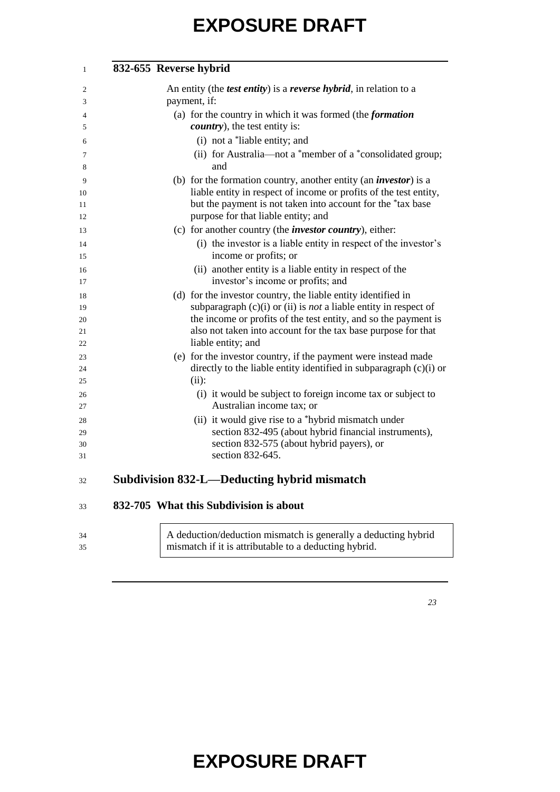| $\mathbf{1}$ | 832-655 Reverse hybrid                                                                                                  |
|--------------|-------------------------------------------------------------------------------------------------------------------------|
| 2            | An entity (the <i>test entity</i> ) is a <i>reverse hybrid</i> , in relation to a                                       |
| 3            | payment, if:                                                                                                            |
| 4            | (a) for the country in which it was formed (the <i>formation</i>                                                        |
| 5            | <i>country</i> ), the test entity is:                                                                                   |
| 6            | (i) not a *liable entity; and                                                                                           |
| 7<br>8       | (ii) for Australia-not a *member of a *consolidated group;<br>and                                                       |
| 9            | (b) for the formation country, another entity (an <i>investor</i> ) is a                                                |
| 10           | liable entity in respect of income or profits of the test entity,                                                       |
| 11           | but the payment is not taken into account for the *tax base                                                             |
| 12           | purpose for that liable entity; and                                                                                     |
| 13           | (c) for another country (the <i>investor country</i> ), either:                                                         |
| 14           | (i) the investor is a liable entity in respect of the investor's                                                        |
| 15           | income or profits; or                                                                                                   |
| 16           | (ii) another entity is a liable entity in respect of the                                                                |
| 17           | investor's income or profits; and                                                                                       |
| 18           | (d) for the investor country, the liable entity identified in                                                           |
| 19           | subparagraph $(c)(i)$ or $(ii)$ is <i>not</i> a liable entity in respect of                                             |
| 20           | the income or profits of the test entity, and so the payment is                                                         |
| 21           | also not taken into account for the tax base purpose for that                                                           |
| 22           | liable entity; and                                                                                                      |
| 23           | (e) for the investor country, if the payment were instead made                                                          |
| 24           | directly to the liable entity identified in subparagraph (c)(i) or                                                      |
| 25           | (ii):                                                                                                                   |
| 26           | (i) it would be subject to foreign income tax or subject to<br>Australian income tax; or                                |
| 27           |                                                                                                                         |
| 28           | (ii) it would give rise to a *hybrid mismatch under                                                                     |
| 29           | section 832-495 (about hybrid financial instruments),<br>section 832-575 (about hybrid payers), or                      |
| 30<br>31     | section 832-645.                                                                                                        |
|              |                                                                                                                         |
| 32           | <b>Subdivision 832-L-Deducting hybrid mismatch</b>                                                                      |
| 33           | 832-705 What this Subdivision is about                                                                                  |
| 34<br>35     | A deduction/deduction mismatch is generally a deducting hybrid<br>mismatch if it is attributable to a deducting hybrid. |
|              |                                                                                                                         |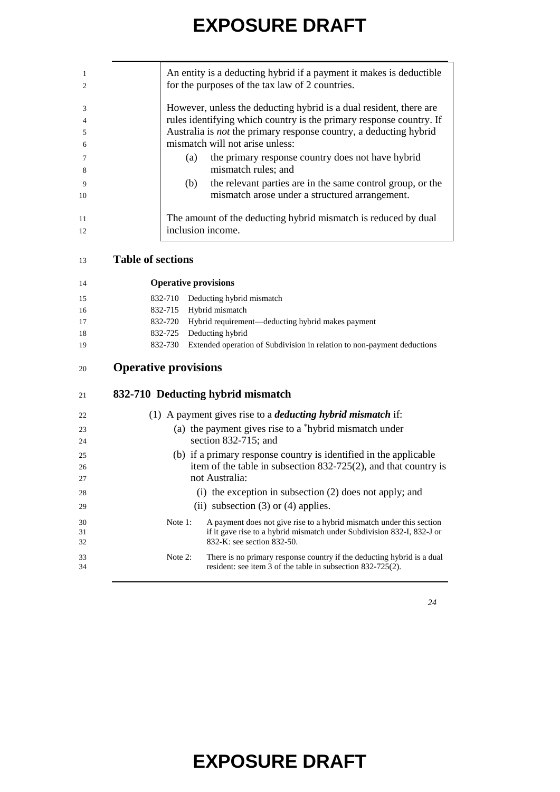|               | An entity is a deducting hybrid if a payment it makes is deductible      |
|---------------|--------------------------------------------------------------------------|
| $\mathcal{L}$ | for the purposes of the tax law of 2 countries.                          |
| $\mathcal{R}$ | However, unless the deducting hybrid is a dual resident, there are       |
|               | rules identifying which country is the primary response country. If      |
| 5             | Australia is <i>not</i> the primary response country, a deducting hybrid |
| 6             | mismatch will not arise unless:                                          |
|               | the primary response country does not have hybrid<br>(a)                 |
| -8            | mismatch rules; and                                                      |
| 9             | the relevant parties are in the same control group, or the<br>(b)        |
| 10            | mismatch arose under a structured arrangement.                           |
|               |                                                                          |
| 11            | The amount of the deducting hybrid mismatch is reduced by dual           |
| 12            | inclusion income.                                                        |

| 14 |                             | <b>Operative provisions</b>                                             |
|----|-----------------------------|-------------------------------------------------------------------------|
| 15 | 832-710                     | Deducting hybrid mismatch                                               |
| 16 | 832-715                     | Hybrid mismatch                                                         |
| 17 | 832-720                     | Hybrid requirement-deducting hybrid makes payment                       |
| 18 | 832-725                     | Deducting hybrid                                                        |
| 19 | 832-730                     | Extended operation of Subdivision in relation to non-payment deductions |
| 20 | <b>Operative provisions</b> |                                                                         |
| 21 |                             | 832-710 Deducting hybrid mismatch                                       |
| 22 |                             | (1) A payment gives rise to a <i>deducting hybrid mismatch</i> if:      |
| 23 |                             | (a) the payment gives rise to a *hybrid mismatch under                  |
| 24 |                             | section $832-715$ ; and                                                 |
| 25 |                             | (b) if a primary response country is identified in the applicable       |
| 26 |                             | item of the table in subsection $832-725(2)$ , and that country is      |
| 27 |                             | not Australia:                                                          |
| 28 |                             | $(i)$ the exception in subsection $(2)$ does not apply; and             |
| 29 |                             | (ii) subsection $(3)$ or $(4)$ applies.                                 |
| 30 | Note 1:                     | A payment does not give rise to a hybrid mismatch under this section    |
| 31 |                             | if it gave rise to a hybrid mismatch under Subdivision 832-I, 832-J or  |
| 32 |                             | 832-K: see section 832-50.                                              |
| 33 | Note 2:                     | There is no primary response country if the deducting hybrid is a dual  |
| 34 |                             | resident: see item 3 of the table in subsection 832-725(2).             |
|    |                             |                                                                         |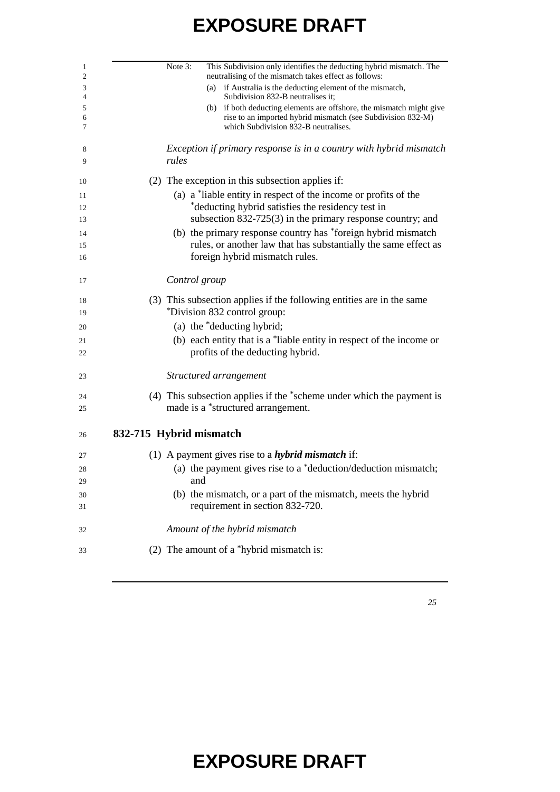| Note 3:<br>This Subdivision only identifies the deducting hybrid mismatch. The<br>neutralising of the mismatch takes effect as follows:                                     |
|-----------------------------------------------------------------------------------------------------------------------------------------------------------------------------|
| (a) if Australia is the deducting element of the mismatch,<br>Subdivision 832-B neutralises it:                                                                             |
| (b) if both deducting elements are offshore, the mismatch might give<br>rise to an imported hybrid mismatch (see Subdivision 832-M)<br>which Subdivision 832-B neutralises. |
| Exception if primary response is in a country with hybrid mismatch<br>rules                                                                                                 |
|                                                                                                                                                                             |
| (2) The exception in this subsection applies if:                                                                                                                            |
| (a) a *liable entity in respect of the income or profits of the                                                                                                             |
| *deducting hybrid satisfies the residency test in<br>subsection 832-725(3) in the primary response country; and                                                             |
| (b) the primary response country has *foreign hybrid mismatch                                                                                                               |
| rules, or another law that has substantially the same effect as                                                                                                             |
| foreign hybrid mismatch rules.                                                                                                                                              |
|                                                                                                                                                                             |
| Control group                                                                                                                                                               |
| (3) This subsection applies if the following entities are in the same                                                                                                       |
| *Division 832 control group:                                                                                                                                                |
| (a) the *deducting hybrid;                                                                                                                                                  |
| (b) each entity that is a *liable entity in respect of the income or                                                                                                        |
| profits of the deducting hybrid.                                                                                                                                            |
| Structured arrangement                                                                                                                                                      |
| (4) This subsection applies if the *scheme under which the payment is                                                                                                       |
| made is a *structured arrangement.                                                                                                                                          |
| 832-715 Hybrid mismatch                                                                                                                                                     |
| (1) A payment gives rise to a <i>hybrid mismatch</i> if:                                                                                                                    |
| (a) the payment gives rise to a *deduction/deduction mismatch;                                                                                                              |
| and                                                                                                                                                                         |
| (b) the mismatch, or a part of the mismatch, meets the hybrid                                                                                                               |
| requirement in section 832-720.                                                                                                                                             |
|                                                                                                                                                                             |
| Amount of the hybrid mismatch                                                                                                                                               |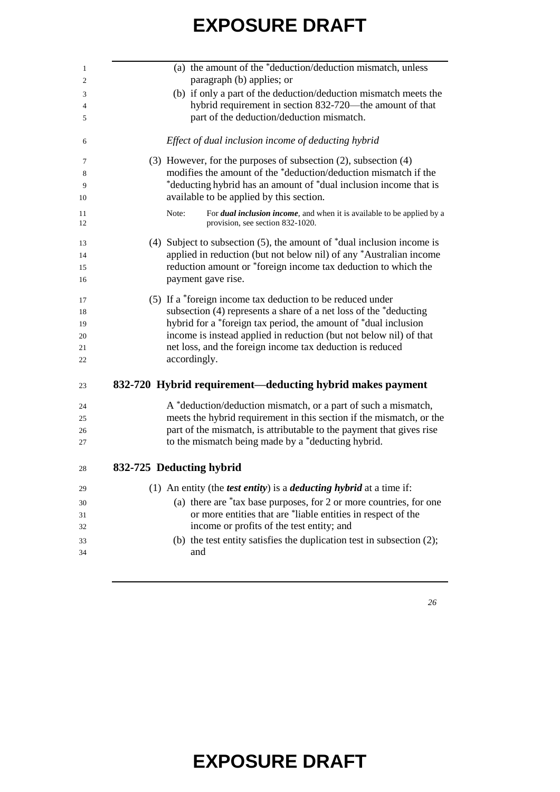| (a) the amount of the *deduction/deduction mismatch, unless                                                         |
|---------------------------------------------------------------------------------------------------------------------|
| paragraph (b) applies; or                                                                                           |
| (b) if only a part of the deduction/deduction mismatch meets the                                                    |
| hybrid requirement in section 832-720—the amount of that                                                            |
| part of the deduction/deduction mismatch.                                                                           |
| Effect of dual inclusion income of deducting hybrid                                                                 |
| $(3)$ However, for the purposes of subsection $(2)$ , subsection $(4)$                                              |
| modifies the amount of the *deduction/deduction mismatch if the                                                     |
| *deducting hybrid has an amount of *dual inclusion income that is                                                   |
| available to be applied by this section.                                                                            |
| For dual inclusion income, and when it is available to be applied by a<br>Note:<br>provision, see section 832-1020. |
| (4) Subject to subsection $(5)$ , the amount of $*$ dual inclusion income is                                        |
| applied in reduction (but not below nil) of any *Australian income                                                  |
| reduction amount or *foreign income tax deduction to which the                                                      |
| payment gave rise.                                                                                                  |
| (5) If a *foreign income tax deduction to be reduced under                                                          |
| subsection (4) represents a share of a net loss of the *deducting                                                   |
| hybrid for a *foreign tax period, the amount of *dual inclusion                                                     |
| income is instead applied in reduction (but not below nil) of that                                                  |
| net loss, and the foreign income tax deduction is reduced                                                           |
| accordingly.                                                                                                        |
| 832-720 Hybrid requirement—deducting hybrid makes payment                                                           |
| A *deduction/deduction mismatch, or a part of such a mismatch,                                                      |
| meets the hybrid requirement in this section if the mismatch, or the                                                |
| part of the mismatch, is attributable to the payment that gives rise                                                |
| to the mismatch being made by a *deducting hybrid.                                                                  |
| 832-725 Deducting hybrid                                                                                            |
| (1) An entity (the <i>test entity</i> ) is a <i>deducting hybrid</i> at a time if:                                  |
| (a) there are *tax base purposes, for 2 or more countries, for one                                                  |
| or more entities that are *liable entities in respect of the                                                        |
| income or profits of the test entity; and                                                                           |
| (b) the test entity satisfies the duplication test in subsection $(2)$ ;                                            |
|                                                                                                                     |
| and                                                                                                                 |
|                                                                                                                     |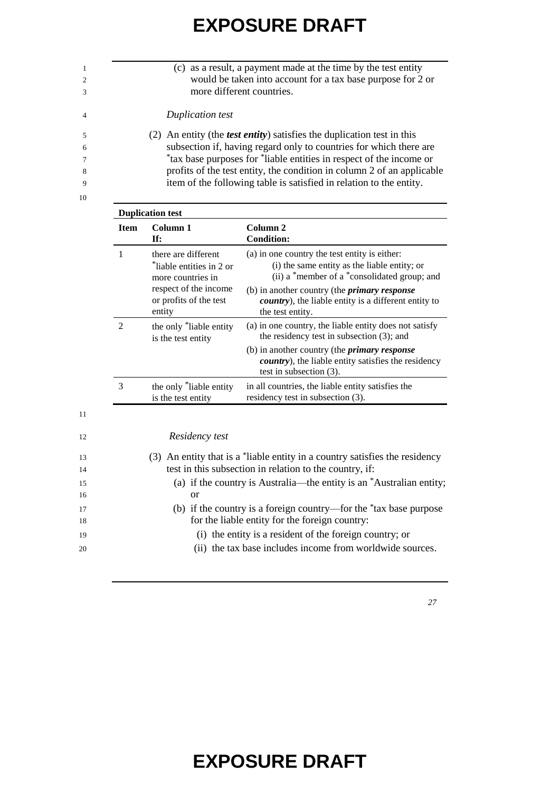|    | (c) as a result, a payment made at the time by the test entity                 |
|----|--------------------------------------------------------------------------------|
|    | would be taken into account for a tax base purpose for 2 or                    |
|    | more different countries.                                                      |
| 4  | Duplication test                                                               |
|    | (2) An entity (the <i>test entity</i> ) satisfies the duplication test in this |
| 6  | subsection if, having regard only to countries for which there are             |
|    | *tax base purposes for *liable entities in respect of the income or            |
| 8  | profits of the test entity, the condition in column 2 of an applicable         |
|    | item of the following table is satisfied in relation to the entity.            |
| 10 |                                                                                |

| <b>Item</b>    | Column 1<br>If:                                                                                                                   | Column 2<br><b>Condition:</b>                                                                                                                                                                                                                                                            |
|----------------|-----------------------------------------------------------------------------------------------------------------------------------|------------------------------------------------------------------------------------------------------------------------------------------------------------------------------------------------------------------------------------------------------------------------------------------|
| 1              | there are different<br>*liable entities in 2 or<br>more countries in<br>respect of the income<br>or profits of the test<br>entity | (a) in one country the test entity is either:<br>(i) the same entity as the liable entity; or<br>(ii) a *member of a *consolidated group; and<br>(b) in another country (the <i>primary response</i><br><i>country</i> ), the liable entity is a different entity to<br>the test entity. |
| $\overline{2}$ | the only *liable entity<br>is the test entity                                                                                     | (a) in one country, the liable entity does not satisfy<br>the residency test in subsection $(3)$ ; and<br>(b) in another country (the <i>primary response</i><br><i>country</i> ), the liable entity satisfies the residency<br>test in subsection (3).                                  |
| 3              | the only *liable entity<br>is the test entity                                                                                     | in all countries, the liable entity satisfies the<br>residency test in subsection (3).                                                                                                                                                                                                   |
|                |                                                                                                                                   |                                                                                                                                                                                                                                                                                          |
|                | Residency test                                                                                                                    |                                                                                                                                                                                                                                                                                          |
|                | (3)                                                                                                                               | An entity that is a "liable entity in a country satisfies the residency                                                                                                                                                                                                                  |

14 test in this subsection in relation to the country, if:

18 for the liable entity for the foreign country:

(a) if the country is Australia—the entity is an \*Australian entity;

(b) if the country is a foreign country—for the \*tax base purpose

20 (ii) the tax base includes income from worldwide sources.

19 (i) the entity is a resident of the foreign country; or

16 or

*27*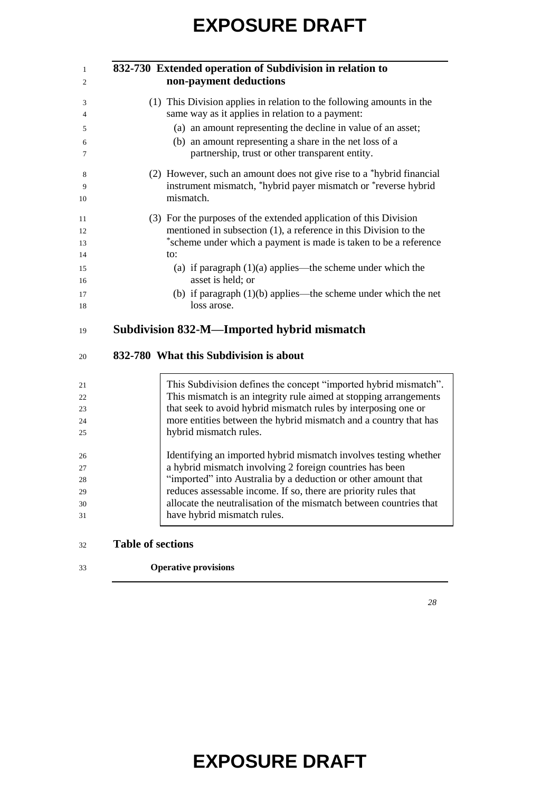| 1  | 832-730 Extended operation of Subdivision in relation to              |
|----|-----------------------------------------------------------------------|
| 2  | non-payment deductions                                                |
| 3  | (1) This Division applies in relation to the following amounts in the |
| 4  | same way as it applies in relation to a payment:                      |
| 5  | (a) an amount representing the decline in value of an asset;          |
| 6  | (b) an amount representing a share in the net loss of a               |
| 7  | partnership, trust or other transparent entity.                       |
| 8  | (2) However, such an amount does not give rise to a *hybrid financial |
| 9  | instrument mismatch, *hybrid payer mismatch or *reverse hybrid        |
| 10 | mismatch.                                                             |
| 11 | (3) For the purposes of the extended application of this Division     |
| 12 | mentioned in subsection $(1)$ , a reference in this Division to the   |
| 13 | *scheme under which a payment is made is taken to be a reference      |
| 14 | to:                                                                   |
| 15 | (a) if paragraph $(1)(a)$ applies—the scheme under which the          |
| 16 | asset is held; or                                                     |
| 17 | (b) if paragraph $(1)(b)$ applies—the scheme under which the net      |
| 18 | loss arose.                                                           |
| 19 | Subdivision 832-M—Imported hybrid mismatch                            |
|    |                                                                       |

#### **832-780 What this Subdivision is about**

| 21 | This Subdivision defines the concept "imported hybrid mismatch".   |
|----|--------------------------------------------------------------------|
| 22 | This mismatch is an integrity rule aimed at stopping arrangements  |
| 23 | that seek to avoid hybrid mismatch rules by interposing one or     |
| 24 | more entities between the hybrid mismatch and a country that has   |
| 25 | hybrid mismatch rules.                                             |
| 26 | Identifying an imported hybrid mismatch involves testing whether   |
| 27 | a hybrid mismatch involving 2 foreign countries has been           |
| 28 | "imported" into Australia by a deduction or other amount that      |
| 29 | reduces assessable income. If so, there are priority rules that    |
| 30 | allocate the neutralisation of the mismatch between countries that |
| 31 | have hybrid mismatch rules.                                        |

#### **Table of sections**

**Operative provisions**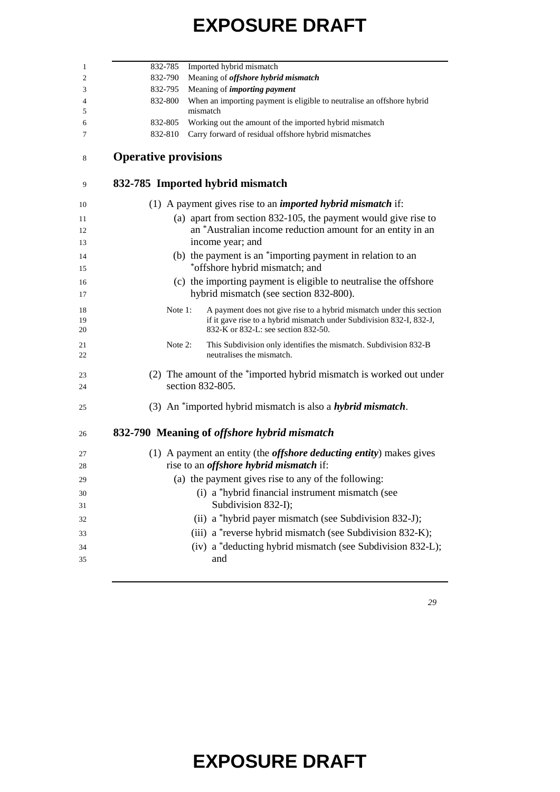|                             | 832-785 Imported hybrid mismatch                                                                            |
|-----------------------------|-------------------------------------------------------------------------------------------------------------|
| 832-790                     | Meaning of offshore hybrid mismatch                                                                         |
| 832-795                     | Meaning of <i>importing payment</i>                                                                         |
| 832-800                     | When an importing payment is eligible to neutralise an offshore hybrid                                      |
| 832-805                     | mismatch<br>Working out the amount of the imported hybrid mismatch                                          |
| 832-810                     | Carry forward of residual offshore hybrid mismatches                                                        |
| <b>Operative provisions</b> |                                                                                                             |
|                             | 832-785 Imported hybrid mismatch                                                                            |
|                             | (1) A payment gives rise to an <i>imported hybrid mismatch</i> if:                                          |
|                             | (a) apart from section 832-105, the payment would give rise to                                              |
|                             | an *Australian income reduction amount for an entity in an                                                  |
|                             | income year; and                                                                                            |
|                             | (b) the payment is an *importing payment in relation to an                                                  |
|                             | *offshore hybrid mismatch; and                                                                              |
|                             | (c) the importing payment is eligible to neutralise the offshore                                            |
|                             | hybrid mismatch (see section 832-800).                                                                      |
| Note 1:                     | A payment does not give rise to a hybrid mismatch under this section                                        |
|                             | if it gave rise to a hybrid mismatch under Subdivision 832-I, 832-J,<br>832-K or 832-L: see section 832-50. |
|                             |                                                                                                             |
| Note $2$ :                  | This Subdivision only identifies the mismatch. Subdivision 832-B<br>neutralises the mismatch.               |
|                             | (2) The amount of the *imported hybrid mismatch is worked out under                                         |
|                             | section 832-805.                                                                                            |
|                             | (3) An *imported hybrid mismatch is also a <i>hybrid mismatch</i> .                                         |
|                             |                                                                                                             |
|                             | 832-790 Meaning of <i>offshore hybrid mismatch</i>                                                          |
|                             | (1) A payment an entity (the <i>offshore deducting entity</i> ) makes gives                                 |
|                             | rise to an <i>offshore</i> hybrid mismatch if:                                                              |
|                             | (a) the payment gives rise to any of the following:                                                         |
|                             | (i) a *hybrid financial instrument mismatch (see                                                            |
|                             | Subdivision 832-I);                                                                                         |
|                             | (ii) a *hybrid payer mismatch (see Subdivision 832-J);                                                      |
|                             | (iii) a *reverse hybrid mismatch (see Subdivision 832-K);                                                   |
|                             |                                                                                                             |
|                             | (iv) a *deducting hybrid mismatch (see Subdivision 832-L);                                                  |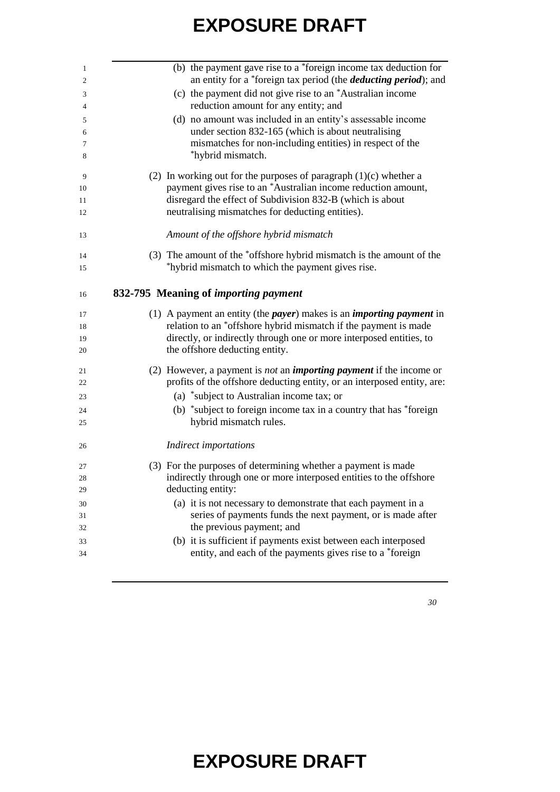| 1<br>2                           | (b) the payment gave rise to a *foreign income tax deduction for<br>an entity for a *foreign tax period (the <i>deducting period</i> ); and |
|----------------------------------|---------------------------------------------------------------------------------------------------------------------------------------------|
| 3<br>$\overline{4}$              | (c) the payment did not give rise to an *Australian income<br>reduction amount for any entity; and                                          |
|                                  | (d) no amount was included in an entity's assessable income                                                                                 |
| 5<br>6                           | under section 832-165 (which is about neutralising                                                                                          |
| 7                                | mismatches for non-including entities) in respect of the                                                                                    |
| 8                                | *hybrid mismatch.                                                                                                                           |
| 9                                | (2) In working out for the purposes of paragraph $(1)(c)$ whether a                                                                         |
| 10                               | payment gives rise to an *Australian income reduction amount,                                                                               |
| 11                               | disregard the effect of Subdivision 832-B (which is about                                                                                   |
| 12                               | neutralising mismatches for deducting entities).                                                                                            |
| 13                               | Amount of the offshore hybrid mismatch                                                                                                      |
| 14                               | (3) The amount of the *offshore hybrid mismatch is the amount of the                                                                        |
| 15                               | *hybrid mismatch to which the payment gives rise.                                                                                           |
|                                  |                                                                                                                                             |
| 16                               | 832-795 Meaning of <i>importing payment</i>                                                                                                 |
| 17                               | (1) A payment an entity (the <i>payer</i> ) makes is an <i>importing payment</i> in                                                         |
| 18                               | relation to an *offshore hybrid mismatch if the payment is made                                                                             |
| 19                               | directly, or indirectly through one or more interposed entities, to                                                                         |
| 20                               | the offshore deducting entity.                                                                                                              |
| 21                               | (2) However, a payment is <i>not</i> an <i>importing payment</i> if the income or                                                           |
| 22                               | profits of the offshore deducting entity, or an interposed entity, are:                                                                     |
| 23                               | (a) *subject to Australian income tax; or                                                                                                   |
| 24                               | (b) *subject to foreign income tax in a country that has *foreign                                                                           |
| 25                               | hybrid mismatch rules.                                                                                                                      |
| 26                               | <b>Indirect importations</b>                                                                                                                |
| 27                               | (3) For the purposes of determining whether a payment is made                                                                               |
|                                  | indirectly through one or more interposed entities to the offshore                                                                          |
|                                  | deducting entity:                                                                                                                           |
|                                  |                                                                                                                                             |
|                                  | (a) it is not necessary to demonstrate that each payment in a                                                                               |
|                                  | series of payments funds the next payment, or is made after                                                                                 |
|                                  | the previous payment; and                                                                                                                   |
| 28<br>29<br>30<br>31<br>32<br>33 | (b) it is sufficient if payments exist between each interposed                                                                              |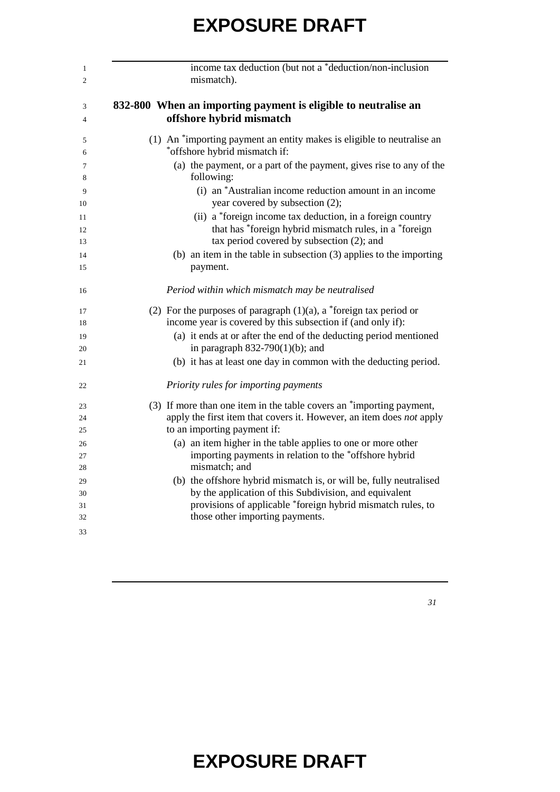| income tax deduction (but not a *deduction/non-inclusion<br>mismatch).                                                                                            |
|-------------------------------------------------------------------------------------------------------------------------------------------------------------------|
| 832-800 When an importing payment is eligible to neutralise an<br>offshore hybrid mismatch                                                                        |
| (1) An *importing payment an entity makes is eligible to neutralise an<br>*offshore hybrid mismatch if:                                                           |
| (a) the payment, or a part of the payment, gives rise to any of the<br>following:                                                                                 |
| (i) an *Australian income reduction amount in an income<br>year covered by subsection (2);                                                                        |
| (ii) a *foreign income tax deduction, in a foreign country<br>that has *foreign hybrid mismatch rules, in a *foreign<br>tax period covered by subsection (2); and |
| (b) an item in the table in subsection $(3)$ applies to the importing<br>payment.                                                                                 |
| Period within which mismatch may be neutralised                                                                                                                   |
| (2) For the purposes of paragraph $(1)(a)$ , a *foreign tax period or<br>income year is covered by this subsection if (and only if):                              |
| (a) it ends at or after the end of the deducting period mentioned<br>in paragraph $832-790(1)(b)$ ; and                                                           |
| (b) it has at least one day in common with the deducting period.                                                                                                  |
| Priority rules for importing payments                                                                                                                             |
| (3) If more than one item in the table covers an "importing payment,                                                                                              |
| apply the first item that covers it. However, an item does not apply<br>to an importing payment if:                                                               |
| (a) an item higher in the table applies to one or more other                                                                                                      |
| importing payments in relation to the *offshore hybrid                                                                                                            |
| mismatch; and                                                                                                                                                     |
| (b) the offshore hybrid mismatch is, or will be, fully neutralised                                                                                                |
| by the application of this Subdivision, and equivalent                                                                                                            |
| provisions of applicable *foreign hybrid mismatch rules, to                                                                                                       |
| those other importing payments.                                                                                                                                   |
|                                                                                                                                                                   |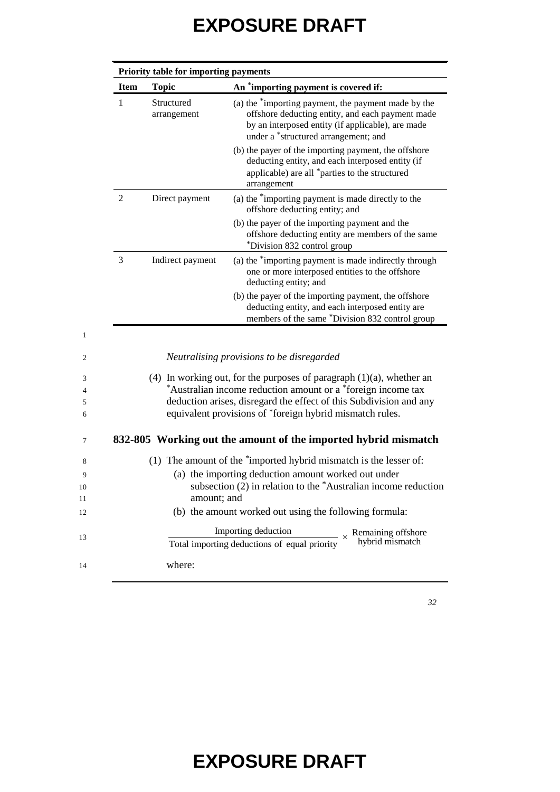| <b>Item</b>    | <b>Topic</b>              | An *importing payment is covered if:                                                                                                                                                                                                                                      |
|----------------|---------------------------|---------------------------------------------------------------------------------------------------------------------------------------------------------------------------------------------------------------------------------------------------------------------------|
| 1              | Structured<br>arrangement | (a) the "importing payment, the payment made by the<br>offshore deducting entity, and each payment made<br>by an interposed entity (if applicable), are made<br>under a *structured arrangement; and                                                                      |
|                |                           | (b) the payer of the importing payment, the offshore<br>deducting entity, and each interposed entity (if<br>applicable) are all *parties to the structured<br>arrangement                                                                                                 |
| $\overline{2}$ | Direct payment            | (a) the "importing payment is made directly to the<br>offshore deducting entity; and                                                                                                                                                                                      |
|                |                           | (b) the payer of the importing payment and the<br>offshore deducting entity are members of the same<br>*Division 832 control group                                                                                                                                        |
| 3              | Indirect payment          | (a) the *importing payment is made indirectly through<br>one or more interposed entities to the offshore<br>deducting entity; and                                                                                                                                         |
|                |                           | (b) the payer of the importing payment, the offshore<br>deducting entity, and each interposed entity are<br>members of the same *Division 832 control group                                                                                                               |
|                |                           |                                                                                                                                                                                                                                                                           |
|                |                           | Neutralising provisions to be disregarded                                                                                                                                                                                                                                 |
|                |                           | (4) In working out, for the purposes of paragraph $(1)(a)$ , whether an<br>*Australian income reduction amount or a *foreign income tax<br>deduction arises, disregard the effect of this Subdivision and any<br>equivalent provisions of *foreign hybrid mismatch rules. |
|                |                           |                                                                                                                                                                                                                                                                           |
|                |                           |                                                                                                                                                                                                                                                                           |
|                |                           | (1) The amount of the *imported hybrid mismatch is the lesser of:                                                                                                                                                                                                         |
|                | amount; and               | (a) the importing deduction amount worked out under                                                                                                                                                                                                                       |
|                |                           | (b) the amount worked out using the following formula:                                                                                                                                                                                                                    |
|                |                           | 832-805 Working out the amount of the imported hybrid mismatch<br>subsection $(2)$ in relation to the *Australian income reduction<br>Importing deduction<br>$- \times$ Remaining offshore<br>hybrid mismatch<br>Total importing deductions of equal priority             |

13

*32*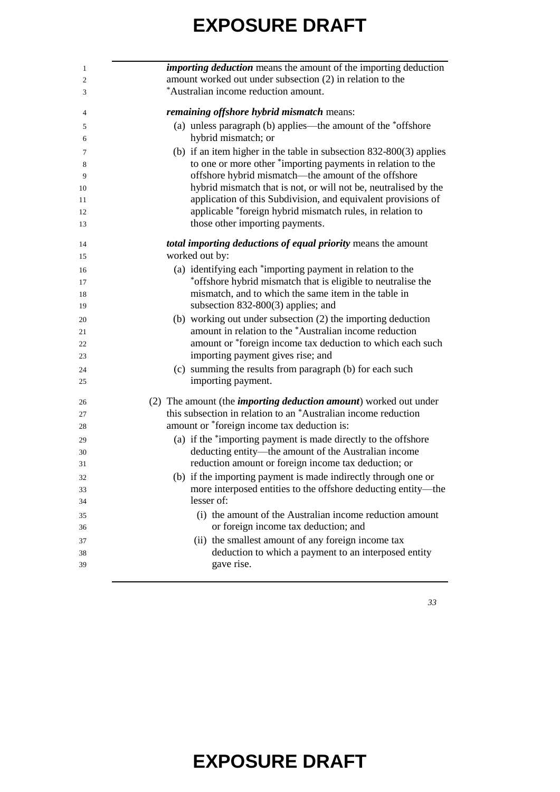| <i>importing deduction</i> means the amount of the importing deduction<br>amount worked out under subsection (2) in relation to the |
|-------------------------------------------------------------------------------------------------------------------------------------|
| *Australian income reduction amount.                                                                                                |
| remaining offshore hybrid mismatch means:                                                                                           |
| (a) unless paragraph (b) applies—the amount of the *offshore                                                                        |
| hybrid mismatch; or                                                                                                                 |
| (b) if an item higher in the table in subsection $832-800(3)$ applies                                                               |
| to one or more other *importing payments in relation to the                                                                         |
| offshore hybrid mismatch—the amount of the offshore                                                                                 |
| hybrid mismatch that is not, or will not be, neutralised by the                                                                     |
| application of this Subdivision, and equivalent provisions of                                                                       |
| applicable *foreign hybrid mismatch rules, in relation to                                                                           |
| those other importing payments.                                                                                                     |
| total importing deductions of equal priority means the amount                                                                       |
| worked out by:                                                                                                                      |
| (a) identifying each *importing payment in relation to the                                                                          |
| *offshore hybrid mismatch that is eligible to neutralise the                                                                        |
| mismatch, and to which the same item in the table in                                                                                |
| subsection $832-800(3)$ applies; and                                                                                                |
| (b) working out under subsection (2) the importing deduction                                                                        |
| amount in relation to the *Australian income reduction                                                                              |
| amount or *foreign income tax deduction to which each such                                                                          |
| importing payment gives rise; and                                                                                                   |
| (c) summing the results from paragraph (b) for each such                                                                            |
| importing payment.                                                                                                                  |
| (2) The amount (the <i>importing deduction amount</i> ) worked out under                                                            |
| this subsection in relation to an *Australian income reduction                                                                      |
| amount or *foreign income tax deduction is:                                                                                         |
| (a) if the *importing payment is made directly to the offshore                                                                      |
| deducting entity—the amount of the Australian income                                                                                |
| reduction amount or foreign income tax deduction; or                                                                                |
| (b) if the importing payment is made indirectly through one or                                                                      |
| more interposed entities to the offshore deducting entity-the                                                                       |
| lesser of:                                                                                                                          |
| (i) the amount of the Australian income reduction amount                                                                            |
| or foreign income tax deduction; and                                                                                                |
| (ii) the smallest amount of any foreign income tax                                                                                  |
| deduction to which a payment to an interposed entity                                                                                |
| gave rise.                                                                                                                          |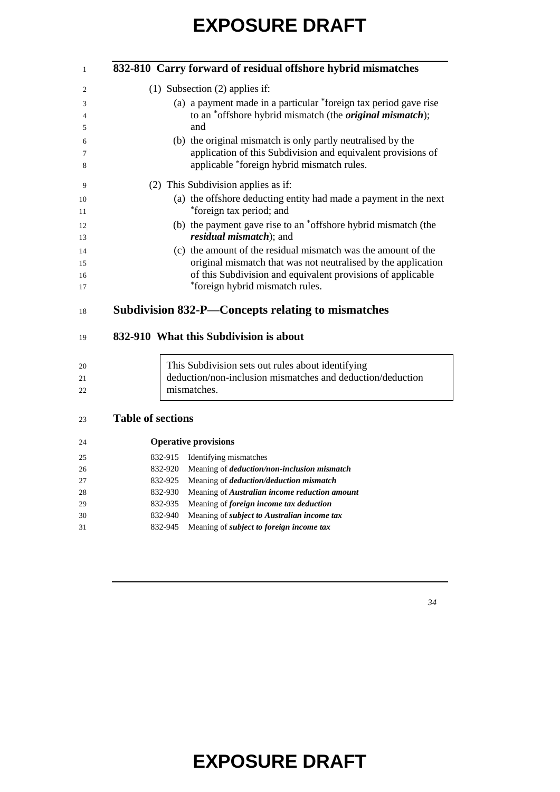|  | 832-810 Carry forward of residual offshore hybrid mismatches     |
|--|------------------------------------------------------------------|
|  | $(1)$ Subsection $(2)$ applies if:                               |
|  | (a) a payment made in a particular *foreign tax period gave rise |
|  | to an *offshore hybrid mismatch (the <i>original mismatch</i> ); |
|  | and                                                              |
|  | (b) the original mismatch is only partly neutralised by the      |
|  | application of this Subdivision and equivalent provisions of     |
|  | applicable *foreign hybrid mismatch rules.                       |
|  | (2) This Subdivision applies as if:                              |
|  | (a) the offshore deducting entity had made a payment in the next |
|  | *foreign tax period; and                                         |
|  | (b) the payment gave rise to an *offshore hybrid mismatch (the   |
|  | <i>residual mismatch</i> ); and                                  |
|  | (c) the amount of the residual mismatch was the amount of the    |
|  | original mismatch that was not neutralised by the application    |
|  | of this Subdivision and equivalent provisions of applicable      |
|  | *foreign hybrid mismatch rules.                                  |
|  | Subdivision 832-P—Concepts relating to mismatches                |

#### **832-910 What this Subdivision is about**

| 20 | This Subdivision sets out rules about identifying          |
|----|------------------------------------------------------------|
| 21 | deduction/non-inclusion mismatches and deduction/deduction |
| 22 | mismatches.                                                |

#### **Table of sections**

| 24 |         | <b>Operative provisions</b>                             |
|----|---------|---------------------------------------------------------|
| 25 | 832-915 | Identifying mismatches                                  |
| 26 | 832-920 | Meaning of <i>deduction</i> /non-inclusion mismatch     |
| 27 | 832-925 | Meaning of <i>deduction</i> / <i>deduction mismatch</i> |
| 28 | 832-930 | Meaning of Australian income reduction amount           |
| 29 | 832-935 | Meaning of foreign income tax deduction                 |
| 30 | 832-940 | Meaning of <i>subject to Australian income tax</i>      |
| 31 | 832-945 | Meaning of <i>subject to foreign income tax</i>         |
|    |         |                                                         |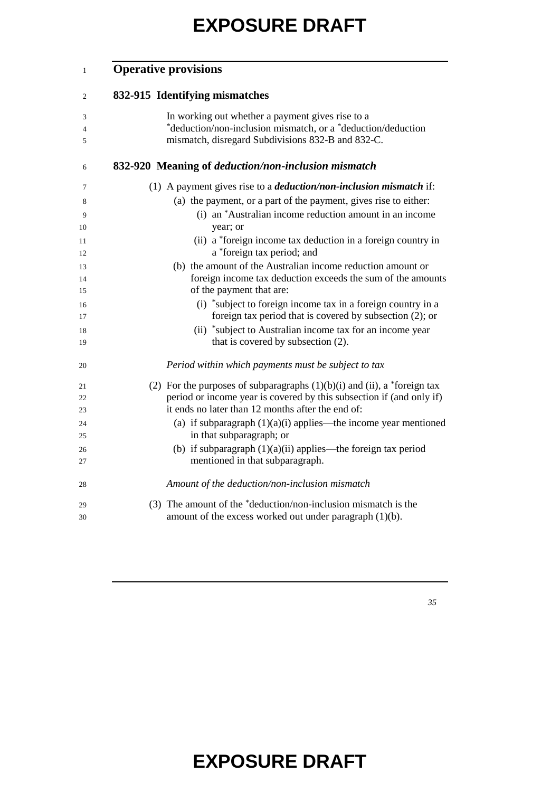#### **Operative provisions**

#### **832-915 Identifying mismatches**

| 3  | In working out whether a payment gives rise to a                              |
|----|-------------------------------------------------------------------------------|
| 4  | *deduction/non-inclusion mismatch, or a *deduction/deduction                  |
| 5  | mismatch, disregard Subdivisions 832-B and 832-C.                             |
| 6  | 832-920 Meaning of <i>deduction</i> /non-inclusion mismatch                   |
| 7  | (1) A payment gives rise to a <i>deduction/non-inclusion mismatch</i> if:     |
| 8  | (a) the payment, or a part of the payment, gives rise to either:              |
| 9  | (i) an *Australian income reduction amount in an income                       |
| 10 | year; or                                                                      |
| 11 | (ii) a *foreign income tax deduction in a foreign country in                  |
| 12 | a *foreign tax period; and                                                    |
| 13 | (b) the amount of the Australian income reduction amount or                   |
| 14 | foreign income tax deduction exceeds the sum of the amounts                   |
| 15 | of the payment that are:                                                      |
| 16 | (i) *subject to foreign income tax in a foreign country in a                  |
| 17 | foreign tax period that is covered by subsection (2); or                      |
| 18 | (ii) *subject to Australian income tax for an income year                     |
| 19 | that is covered by subsection (2).                                            |
| 20 | Period within which payments must be subject to tax                           |
| 21 | (2) For the purposes of subparagraphs $(1)(b)(i)$ and $(ii)$ , a *foreign tax |
| 22 | period or income year is covered by this subsection if (and only if)          |
| 23 | it ends no later than 12 months after the end of:                             |
| 24 | (a) if subparagraph $(1)(a)(i)$ applies—the income year mentioned             |
| 25 | in that subparagraph; or                                                      |
| 26 | (b) if subparagraph $(1)(a)(ii)$ applies—the foreign tax period               |
| 27 | mentioned in that subparagraph.                                               |
| 28 | Amount of the deduction/non-inclusion mismatch                                |
| 29 | (3) The amount of the *deduction/non-inclusion mismatch is the                |
| 30 | amount of the excess worked out under paragraph $(1)(b)$ .                    |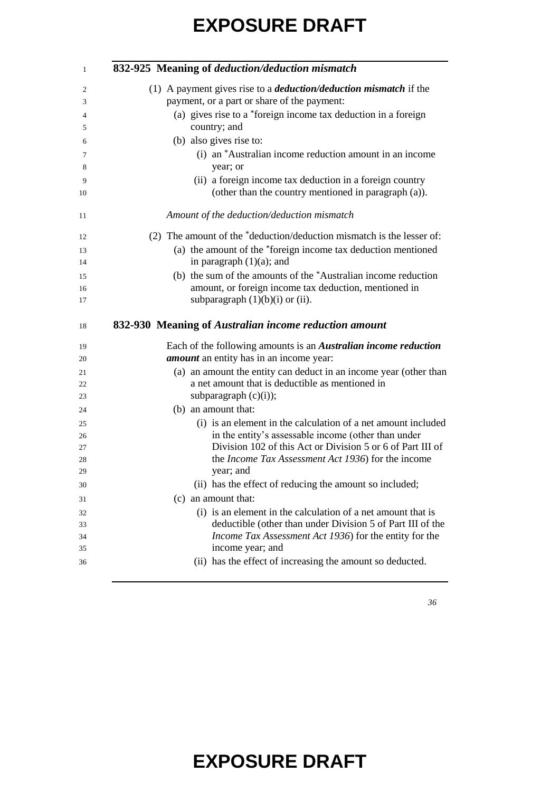| 832-925 Meaning of deduction/deduction mismatch                                                                                                                                                                                                                                                                                                                                                           |
|-----------------------------------------------------------------------------------------------------------------------------------------------------------------------------------------------------------------------------------------------------------------------------------------------------------------------------------------------------------------------------------------------------------|
| (1) A payment gives rise to a <i>deduction/deduction mismatch</i> if the                                                                                                                                                                                                                                                                                                                                  |
| payment, or a part or share of the payment:                                                                                                                                                                                                                                                                                                                                                               |
| (a) gives rise to a *foreign income tax deduction in a foreign<br>country; and                                                                                                                                                                                                                                                                                                                            |
| (b) also gives rise to:                                                                                                                                                                                                                                                                                                                                                                                   |
| (i) an *Australian income reduction amount in an income<br>year; or                                                                                                                                                                                                                                                                                                                                       |
| (ii) a foreign income tax deduction in a foreign country<br>(other than the country mentioned in paragraph (a)).                                                                                                                                                                                                                                                                                          |
| Amount of the deduction/deduction mismatch                                                                                                                                                                                                                                                                                                                                                                |
| (2) The amount of the *deduction/deduction mismatch is the lesser of:                                                                                                                                                                                                                                                                                                                                     |
| (a) the amount of the *foreign income tax deduction mentioned<br>in paragraph $(1)(a)$ ; and                                                                                                                                                                                                                                                                                                              |
| (b) the sum of the amounts of the *Australian income reduction                                                                                                                                                                                                                                                                                                                                            |
| amount, or foreign income tax deduction, mentioned in                                                                                                                                                                                                                                                                                                                                                     |
| subparagraph $(1)(b)(i)$ or $(ii)$ .                                                                                                                                                                                                                                                                                                                                                                      |
|                                                                                                                                                                                                                                                                                                                                                                                                           |
| 832-930 Meaning of Australian income reduction amount                                                                                                                                                                                                                                                                                                                                                     |
| Each of the following amounts is an <i>Australian income reduction</i>                                                                                                                                                                                                                                                                                                                                    |
| <i>amount</i> an entity has in an income year:                                                                                                                                                                                                                                                                                                                                                            |
|                                                                                                                                                                                                                                                                                                                                                                                                           |
| a net amount that is deductible as mentioned in                                                                                                                                                                                                                                                                                                                                                           |
| subparagraph $(c)(i)$ ;                                                                                                                                                                                                                                                                                                                                                                                   |
| (b) an amount that:                                                                                                                                                                                                                                                                                                                                                                                       |
|                                                                                                                                                                                                                                                                                                                                                                                                           |
| in the entity's assessable income (other than under                                                                                                                                                                                                                                                                                                                                                       |
| the Income Tax Assessment Act 1936) for the income                                                                                                                                                                                                                                                                                                                                                        |
| year; and                                                                                                                                                                                                                                                                                                                                                                                                 |
| (ii) has the effect of reducing the amount so included;                                                                                                                                                                                                                                                                                                                                                   |
| (c) an amount that:                                                                                                                                                                                                                                                                                                                                                                                       |
| (i) is an element in the calculation of a net amount that is                                                                                                                                                                                                                                                                                                                                              |
|                                                                                                                                                                                                                                                                                                                                                                                                           |
|                                                                                                                                                                                                                                                                                                                                                                                                           |
| (a) an amount the entity can deduct in an income year (other than<br>(i) is an element in the calculation of a net amount included<br>Division 102 of this Act or Division 5 or 6 of Part III of<br>deductible (other than under Division 5 of Part III of the<br>Income Tax Assessment Act 1936) for the entity for the<br>income year; and<br>(ii) has the effect of increasing the amount so deducted. |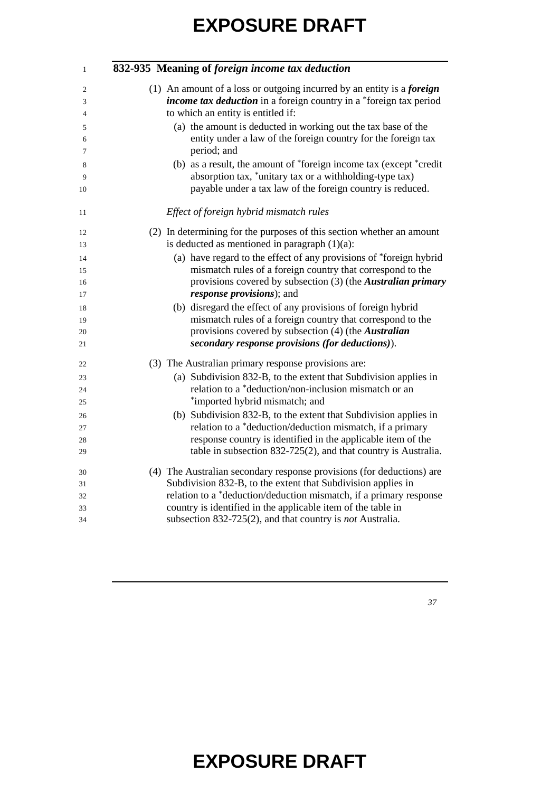| 1  | 832-935 Meaning of foreign income tax deduction                               |
|----|-------------------------------------------------------------------------------|
| 2  | (1) An amount of a loss or outgoing incurred by an entity is a <i>foreign</i> |
| 3  | <i>income tax deduction</i> in a foreign country in a *foreign tax period     |
| 4  | to which an entity is entitled if:                                            |
| 5  | (a) the amount is deducted in working out the tax base of the                 |
| 6  | entity under a law of the foreign country for the foreign tax                 |
| 7  | period; and                                                                   |
| 8  | (b) as a result, the amount of *foreign income tax (except *credit            |
| 9  | absorption tax, *unitary tax or a withholding-type tax)                       |
| 10 | payable under a tax law of the foreign country is reduced.                    |
| 11 | Effect of foreign hybrid mismatch rules                                       |
| 12 | (2) In determining for the purposes of this section whether an amount         |
| 13 | is deducted as mentioned in paragraph $(1)(a)$ :                              |
| 14 | (a) have regard to the effect of any provisions of *foreign hybrid            |
| 15 | mismatch rules of a foreign country that correspond to the                    |
| 16 | provisions covered by subsection (3) (the Australian primary                  |
| 17 | <i>response provisions</i> ); and                                             |
| 18 | (b) disregard the effect of any provisions of foreign hybrid                  |
| 19 | mismatch rules of a foreign country that correspond to the                    |
| 20 | provisions covered by subsection (4) (the Australian                          |
| 21 | secondary response provisions (for deductions)).                              |
| 22 | (3) The Australian primary response provisions are:                           |
| 23 | (a) Subdivision 832-B, to the extent that Subdivision applies in              |
| 24 | relation to a *deduction/non-inclusion mismatch or an                         |
| 25 | *imported hybrid mismatch; and                                                |
| 26 | (b) Subdivision 832-B, to the extent that Subdivision applies in              |
| 27 | relation to a *deduction/deduction mismatch, if a primary                     |
| 28 | response country is identified in the applicable item of the                  |
| 29 | table in subsection $832-725(2)$ , and that country is Australia.             |
| 30 | (4) The Australian secondary response provisions (for deductions) are         |
| 31 | Subdivision 832-B, to the extent that Subdivision applies in                  |
| 32 | relation to a *deduction/deduction mismatch, if a primary response            |
| 33 | country is identified in the applicable item of the table in                  |
| 34 | subsection 832-725(2), and that country is <i>not</i> Australia.              |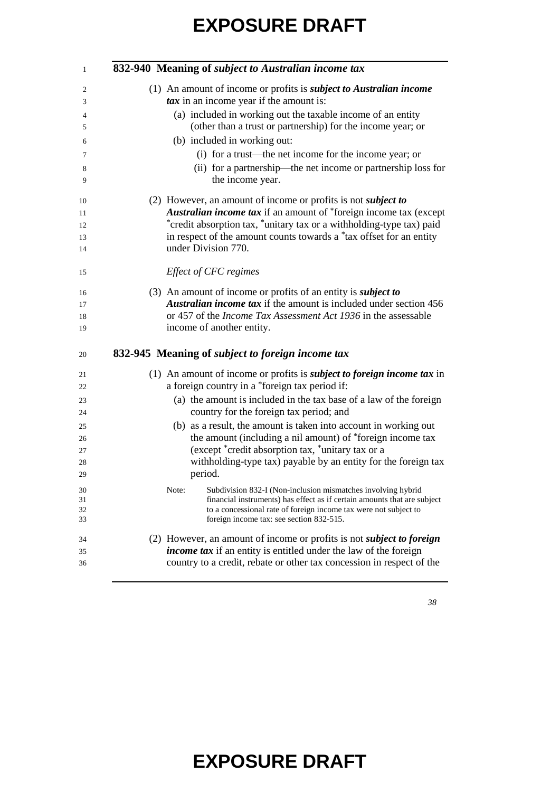| 1        | 832-940 Meaning of subject to Australian income tax                                                                        |
|----------|----------------------------------------------------------------------------------------------------------------------------|
| 2        | (1) An amount of income or profits is <i>subject to Australian income</i>                                                  |
| 3        | $\textit{tax}$ in an income year if the amount is:                                                                         |
| 4<br>5   | (a) included in working out the taxable income of an entity<br>(other than a trust or partnership) for the income year; or |
| 6        | (b) included in working out:                                                                                               |
| 7        | (i) for a trust—the net income for the income year; or                                                                     |
| 8<br>9   | (ii) for a partnership—the net income or partnership loss for<br>the income year.                                          |
| 10       | (2) However, an amount of income or profits is not <i>subject to</i>                                                       |
| 11       | Australian income tax if an amount of *foreign income tax (except                                                          |
| 12       | *credit absorption tax, *unitary tax or a withholding-type tax) paid                                                       |
| 13       | in respect of the amount counts towards a *tax offset for an entity                                                        |
| 14       | under Division 770.                                                                                                        |
| 15       | Effect of CFC regimes                                                                                                      |
| 16       | (3) An amount of income or profits of an entity is <i>subject to</i>                                                       |
| 17       | Australian income tax if the amount is included under section 456                                                          |
| 18       | or 457 of the <i>Income Tax Assessment Act 1936</i> in the assessable                                                      |
| 19       | income of another entity.                                                                                                  |
| 20       | 832-945 Meaning of <i>subject to foreign income tax</i>                                                                    |
| 21       | (1) An amount of income or profits is <i>subject to foreign income tax</i> in                                              |
| 22       | a foreign country in a *foreign tax period if:                                                                             |
| 23<br>24 | (a) the amount is included in the tax base of a law of the foreign<br>country for the foreign tax period; and              |
| 25       | (b) as a result, the amount is taken into account in working out                                                           |
| 26       | the amount (including a nil amount) of *foreign income tax                                                                 |
| 27       | (except *credit absorption tax, *unitary tax or a                                                                          |
| 28       | withholding-type tax) payable by an entity for the foreign tax                                                             |
| 29       | period.                                                                                                                    |
| 30       | Note:<br>Subdivision 832-I (Non-inclusion mismatches involving hybrid                                                      |
| 31       | financial instruments) has effect as if certain amounts that are subject                                                   |
| 32       | to a concessional rate of foreign income tax were not subject to                                                           |
| 33       | foreign income tax: see section 832-515.                                                                                   |
| 34       | (2) However, an amount of income or profits is not <i>subject to foreign</i>                                               |
| 35       | <i>income tax</i> if an entity is entitled under the law of the foreign                                                    |
| 36       | country to a credit, rebate or other tax concession in respect of the                                                      |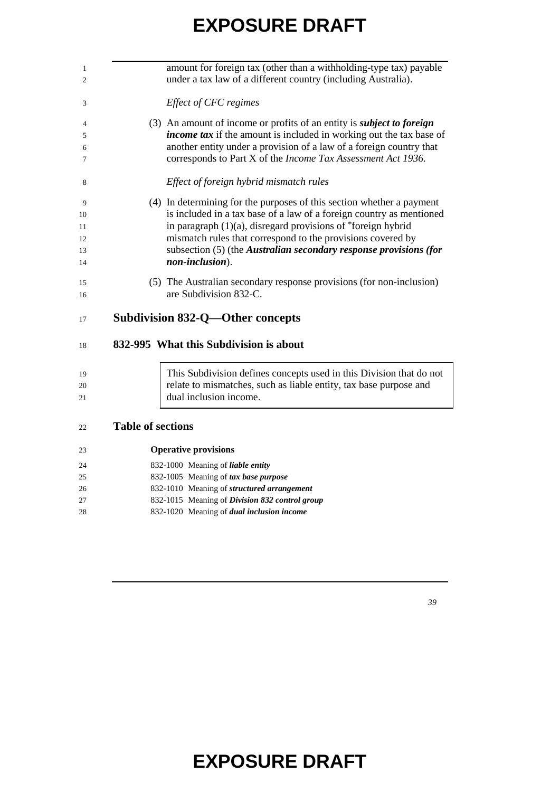| 1              |                   | amount for foreign tax (other than a withholding-type tax) payable           |
|----------------|-------------------|------------------------------------------------------------------------------|
| $\overline{c}$ |                   | under a tax law of a different country (including Australia).                |
| 3              |                   | Effect of CFC regimes                                                        |
| 4              |                   | (3) An amount of income or profits of an entity is <i>subject to foreign</i> |
| 5              |                   | <i>income tax</i> if the amount is included in working out the tax base of   |
| 6              |                   | another entity under a provision of a law of a foreign country that          |
| 7              |                   | corresponds to Part X of the Income Tax Assessment Act 1936.                 |
| 8              |                   | Effect of foreign hybrid mismatch rules                                      |
| 9              |                   | (4) In determining for the purposes of this section whether a payment        |
| 10             |                   | is included in a tax base of a law of a foreign country as mentioned         |
| 11             |                   | in paragraph $(1)(a)$ , disregard provisions of *foreign hybrid              |
| 12             |                   | mismatch rules that correspond to the provisions covered by                  |
| 13             |                   | subsection (5) (the Australian secondary response provisions (for            |
| 14             |                   | non-inclusion).                                                              |
| 15             |                   | (5) The Australian secondary response provisions (for non-inclusion)         |
| 16             |                   | are Subdivision 832-C.                                                       |
| 17             |                   | Subdivision 832-Q—Other concepts                                             |
| 18             |                   | 832-995 What this Subdivision is about                                       |
| 19             |                   | This Subdivision defines concepts used in this Division that do not          |
| 20             |                   | relate to mismatches, such as liable entity, tax base purpose and            |
| 21             |                   | dual inclusion income.                                                       |
|                |                   |                                                                              |
| າາ             | Tahla of sactions |                                                                              |

#### **Table of sections**

| 23 | <b>Operative provisions</b>                       |
|----|---------------------------------------------------|
| 24 | 832-1000 Meaning of <i>liable entity</i>          |
| 25 | 832-1005 Meaning of tax base purpose              |
| 26 | 832-1010 Meaning of <i>structured arrangement</i> |
| 27 | 832-1015 Meaning of Division 832 control group    |
| 28 | 832-1020 Meaning of <i>dual inclusion income</i>  |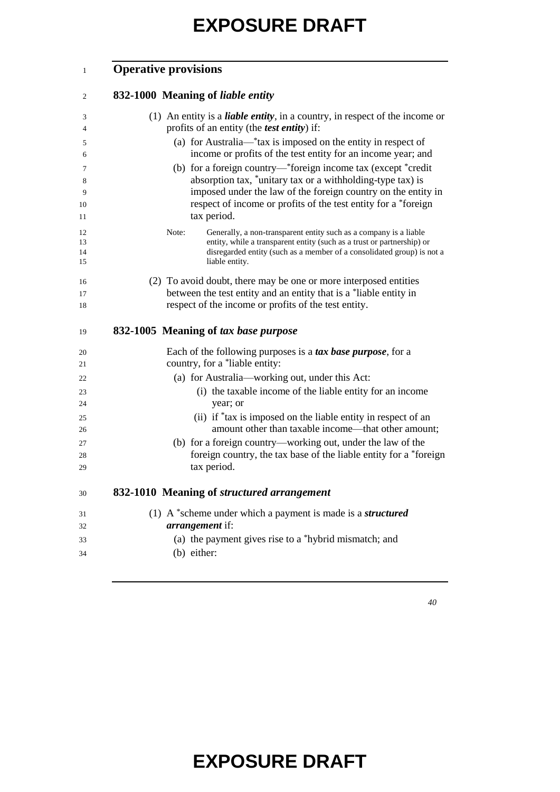#### **Operative provisions**

| $\overline{2}$ | 832-1000 Meaning of liable entity                                                                                           |
|----------------|-----------------------------------------------------------------------------------------------------------------------------|
| 3              | (1) An entity is a <i>liable entity</i> , in a country, in respect of the income or                                         |
| 4              | profits of an entity (the <i>test entity</i> ) if:                                                                          |
| 5              | (a) for Australia—*tax is imposed on the entity in respect of                                                               |
| 6              | income or profits of the test entity for an income year; and                                                                |
| 7              | (b) for a foreign country—*foreign income tax (except *credit<br>absorption tax, *unitary tax or a withholding-type tax) is |
| 8<br>9         | imposed under the law of the foreign country on the entity in                                                               |
| 10             | respect of income or profits of the test entity for a *foreign                                                              |
| 11             | tax period.                                                                                                                 |
| 12             | Note:<br>Generally, a non-transparent entity such as a company is a liable                                                  |
| 13             | entity, while a transparent entity (such as a trust or partnership) or                                                      |
| 14<br>15       | disregarded entity (such as a member of a consolidated group) is not a<br>liable entity.                                    |
| 16             | (2) To avoid doubt, there may be one or more interposed entities                                                            |
| 17             | between the test entity and an entity that is a *liable entity in                                                           |
| 18             | respect of the income or profits of the test entity.                                                                        |
| 19             | 832-1005 Meaning of tax base purpose                                                                                        |
| 20             | Each of the following purposes is a tax base purpose, for a                                                                 |
| 21             | country, for a *liable entity:                                                                                              |
| 22             | (a) for Australia-working out, under this Act:                                                                              |
| 23<br>24       | (i) the taxable income of the liable entity for an income<br>year; or                                                       |
| 25             | (ii) if *tax is imposed on the liable entity in respect of an                                                               |
| 26             | amount other than taxable income—that other amount;                                                                         |
| 27             | (b) for a foreign country—working out, under the law of the                                                                 |
| 28             | foreign country, the tax base of the liable entity for a *foreign                                                           |
| 29             | tax period.                                                                                                                 |
| 30             | 832-1010 Meaning of structured arrangement                                                                                  |
| 31             | (1) A $*$ scheme under which a payment is made is a <i>structured</i>                                                       |
| 32             | arrangement if:                                                                                                             |
| 33             | (a) the payment gives rise to a *hybrid mismatch; and                                                                       |
| 34             | (b) either:                                                                                                                 |
|                |                                                                                                                             |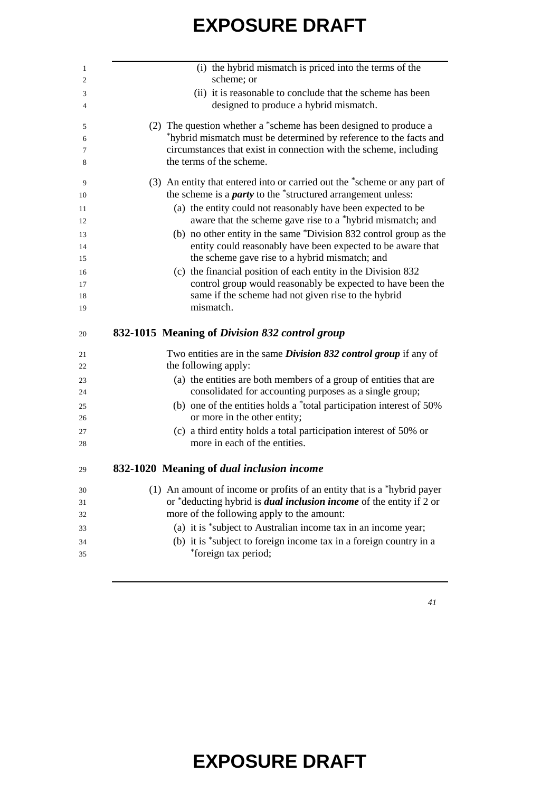| (i) the hybrid mismatch is priced into the terms of the<br>scheme; or                                                             |
|-----------------------------------------------------------------------------------------------------------------------------------|
| (ii) it is reasonable to conclude that the scheme has been                                                                        |
| designed to produce a hybrid mismatch.                                                                                            |
| (2) The question whether a *scheme has been designed to produce a                                                                 |
| *hybrid mismatch must be determined by reference to the facts and                                                                 |
| circumstances that exist in connection with the scheme, including<br>the terms of the scheme.                                     |
| (3) An entity that entered into or carried out the *scheme or any part of                                                         |
| the scheme is a <i>party</i> to the *structured arrangement unless:                                                               |
| (a) the entity could not reasonably have been expected to be                                                                      |
| aware that the scheme gave rise to a *hybrid mismatch; and                                                                        |
| (b) no other entity in the same *Division 832 control group as the<br>entity could reasonably have been expected to be aware that |
| the scheme gave rise to a hybrid mismatch; and                                                                                    |
| (c) the financial position of each entity in the Division 832                                                                     |
| control group would reasonably be expected to have been the                                                                       |
| same if the scheme had not given rise to the hybrid                                                                               |
| mismatch.                                                                                                                         |
| 832-1015 Meaning of Division 832 control group                                                                                    |
| Two entities are in the same <i>Division 832 control group</i> if any of                                                          |
| the following apply:                                                                                                              |
| (a) the entities are both members of a group of entities that are<br>consolidated for accounting purposes as a single group;      |
| (b) one of the entities holds a *total participation interest of 50%                                                              |
| or more in the other entity;                                                                                                      |
| (c) a third entity holds a total participation interest of 50% or                                                                 |
| more in each of the entities.                                                                                                     |
| 832-1020 Meaning of dual inclusion income                                                                                         |
| (1) An amount of income or profits of an entity that is a $*$ hybrid payer                                                        |
|                                                                                                                                   |
| or *deducting hybrid is <i>dual inclusion income</i> of the entity if 2 or                                                        |
| more of the following apply to the amount:                                                                                        |
| (a) it is *subject to Australian income tax in an income year;                                                                    |
| (b) it is *subject to foreign income tax in a foreign country in a<br>*foreign tax period;                                        |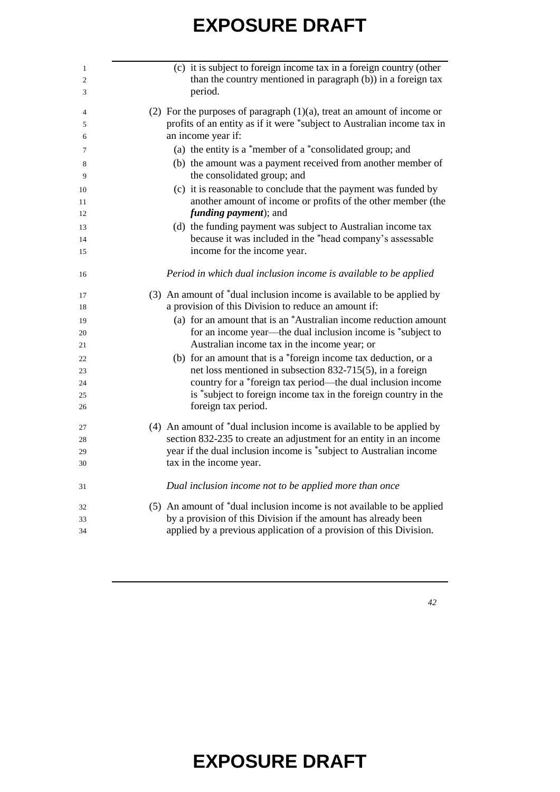| 1  | (c) it is subject to foreign income tax in a foreign country (other       |
|----|---------------------------------------------------------------------------|
| 2  | than the country mentioned in paragraph (b)) in a foreign tax             |
| 3  | period.                                                                   |
| 4  | (2) For the purposes of paragraph $(1)(a)$ , treat an amount of income or |
| 5  | profits of an entity as if it were *subject to Australian income tax in   |
| 6  | an income year if:                                                        |
| 7  | (a) the entity is a *member of a *consolidated group; and                 |
| 8  | (b) the amount was a payment received from another member of              |
| 9  | the consolidated group; and                                               |
| 10 | (c) it is reasonable to conclude that the payment was funded by           |
| 11 | another amount of income or profits of the other member (the              |
| 12 | <i>funding payment</i> ); and                                             |
| 13 | (d) the funding payment was subject to Australian income tax              |
| 14 | because it was included in the *head company's assessable                 |
| 15 | income for the income year.                                               |
| 16 | Period in which dual inclusion income is available to be applied          |
| 17 | (3) An amount of *dual inclusion income is available to be applied by     |
| 18 | a provision of this Division to reduce an amount if:                      |
| 19 | (a) for an amount that is an *Australian income reduction amount          |
| 20 | for an income year—the dual inclusion income is *subject to               |
| 21 | Australian income tax in the income year; or                              |
| 22 | (b) for an amount that is a *foreign income tax deduction, or a           |
| 23 | net loss mentioned in subsection 832-715(5), in a foreign                 |
| 24 | country for a *foreign tax period—the dual inclusion income               |
| 25 | is *subject to foreign income tax in the foreign country in the           |
| 26 | foreign tax period.                                                       |
| 27 | (4) An amount of *dual inclusion income is available to be applied by     |
| 28 | section 832-235 to create an adjustment for an entity in an income        |
| 29 | year if the dual inclusion income is *subject to Australian income        |
| 30 | tax in the income year.                                                   |
| 31 | Dual inclusion income not to be applied more than once                    |
| 32 | (5) An amount of *dual inclusion income is not available to be applied    |
| 33 | by a provision of this Division if the amount has already been            |
| 34 | applied by a previous application of a provision of this Division.        |
|    |                                                                           |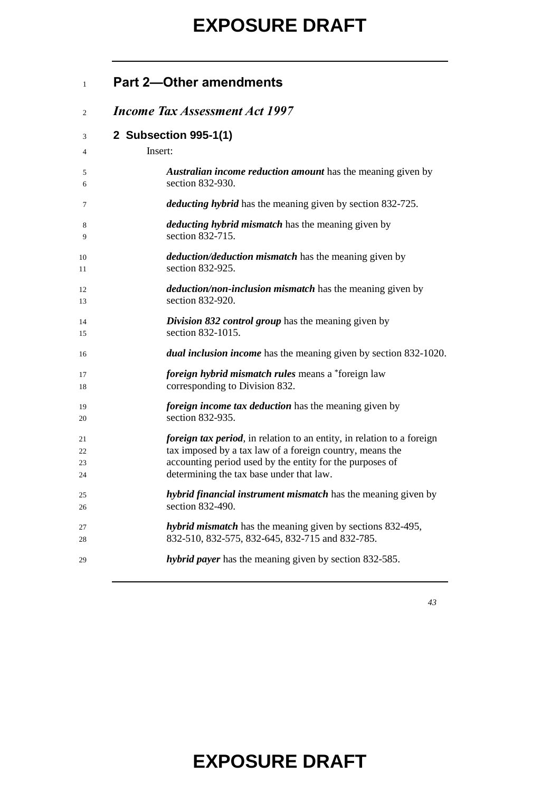| <b>Part 2-Other amendments</b> |  |
|--------------------------------|--|
|--------------------------------|--|

#### *Income Tax Assessment Act 1997*

#### **2 Subsection 995-1(1)**

| $\overline{4}$ | Insert:                                                                        |
|----------------|--------------------------------------------------------------------------------|
| 5              | <b>Australian income reduction amount</b> has the meaning given by             |
| 6              | section 832-930.                                                               |
| 7              | <i>deducting hybrid</i> has the meaning given by section 832-725.              |
| 8              | <i>deducting hybrid mismatch</i> has the meaning given by                      |
| 9              | section 832-715.                                                               |
| 10             | <i>deduction/deduction mismatch</i> has the meaning given by                   |
| 11             | section 832-925.                                                               |
| 12             | <i>deduction/non-inclusion mismatch</i> has the meaning given by               |
| 13             | section 832-920.                                                               |
| 14             | <b>Division 832 control group</b> has the meaning given by                     |
| 15             | section 832-1015.                                                              |
| 16             | dual inclusion income has the meaning given by section 832-1020.               |
| 17             | <i>foreign hybrid mismatch rules</i> means a *foreign law                      |
| 18             | corresponding to Division 832.                                                 |
| 19             | <i>foreign income tax deduction</i> has the meaning given by                   |
| 20             | section 832-935.                                                               |
| 21             | <i>foreign tax period</i> , in relation to an entity, in relation to a foreign |
| 22             | tax imposed by a tax law of a foreign country, means the                       |
| 23             | accounting period used by the entity for the purposes of                       |
| 24             | determining the tax base under that law.                                       |
| 25             | <i>hybrid financial instrument mismatch</i> has the meaning given by           |
| 26             | section 832-490.                                                               |
| 27             | <i>hybrid mismatch</i> has the meaning given by sections 832-495,              |
| 28             | 832-510, 832-575, 832-645, 832-715 and 832-785.                                |
| 29             | <i>hybrid payer</i> has the meaning given by section 832-585.                  |
|                |                                                                                |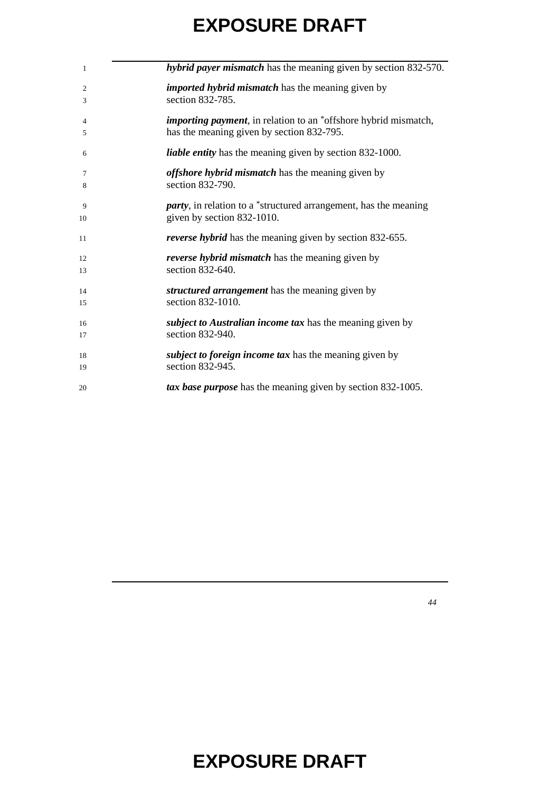| 1  | hybrid payer mismatch has the meaning given by section 832-570.          |
|----|--------------------------------------------------------------------------|
| 2  | <i>imported hybrid mismatch</i> has the meaning given by                 |
| 3  | section 832-785.                                                         |
| 4  | <i>importing payment</i> , in relation to an *offshore hybrid mismatch,  |
| 5  | has the meaning given by section 832-795.                                |
| 6  | <i>liable entity</i> has the meaning given by section 832-1000.          |
| 7  | <i>offshore hybrid mismatch</i> has the meaning given by                 |
| 8  | section 832-790.                                                         |
| 9  | <i>party</i> , in relation to a *structured arrangement, has the meaning |
| 10 | given by section 832-1010.                                               |
| 11 | <i>reverse hybrid</i> has the meaning given by section 832-655.          |
| 12 | <i>reverse hybrid mismatch</i> has the meaning given by                  |
| 13 | section 832-640.                                                         |
| 14 | structured arrangement has the meaning given by                          |
| 15 | section 832-1010.                                                        |
| 16 | <i>subject to Australian income tax</i> has the meaning given by         |
| 17 | section 832-940.                                                         |
| 18 | <i>subject to foreign income tax</i> has the meaning given by            |
| 19 | section 832-945.                                                         |
| 20 | tax base purpose has the meaning given by section 832-1005.              |
|    |                                                                          |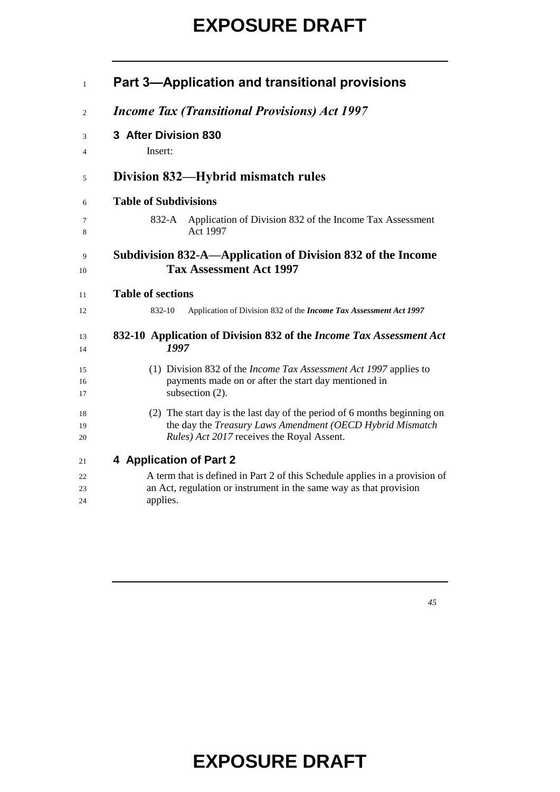| $\mathbf{1}$   | Part 3-Application and transitional provisions                                                                                                                                      |
|----------------|-------------------------------------------------------------------------------------------------------------------------------------------------------------------------------------|
| $\overline{c}$ | <b>Income Tax (Transitional Provisions) Act 1997</b>                                                                                                                                |
| 3              | 3 After Division 830                                                                                                                                                                |
| 4              | Insert:                                                                                                                                                                             |
| 5              | Division 832—Hybrid mismatch rules                                                                                                                                                  |
| 6              | <b>Table of Subdivisions</b>                                                                                                                                                        |
| 7<br>8         | Application of Division 832 of the Income Tax Assessment<br>832-A<br>Act 1997                                                                                                       |
| 9<br>10        | Subdivision 832-A—Application of Division 832 of the Income<br><b>Tax Assessment Act 1997</b>                                                                                       |
| 11             | <b>Table of sections</b>                                                                                                                                                            |
| 12             | Application of Division 832 of the Income Tax Assessment Act 1997<br>832-10                                                                                                         |
| 13<br>14       | 832-10 Application of Division 832 of the <i>Income Tax Assessment Act</i><br>1997                                                                                                  |
| 15<br>16<br>17 | (1) Division 832 of the <i>Income Tax Assessment Act 1997</i> applies to<br>payments made on or after the start day mentioned in<br>subsection $(2)$ .                              |
| 18<br>19<br>20 | (2) The start day is the last day of the period of 6 months beginning on<br>the day the Treasury Laws Amendment (OECD Hybrid Mismatch<br>Rules) Act 2017 receives the Royal Assent. |
| 21             | 4 Application of Part 2                                                                                                                                                             |
| 22<br>23<br>24 | A term that is defined in Part 2 of this Schedule applies in a provision of<br>an Act, regulation or instrument in the same way as that provision<br>applies.                       |
|                |                                                                                                                                                                                     |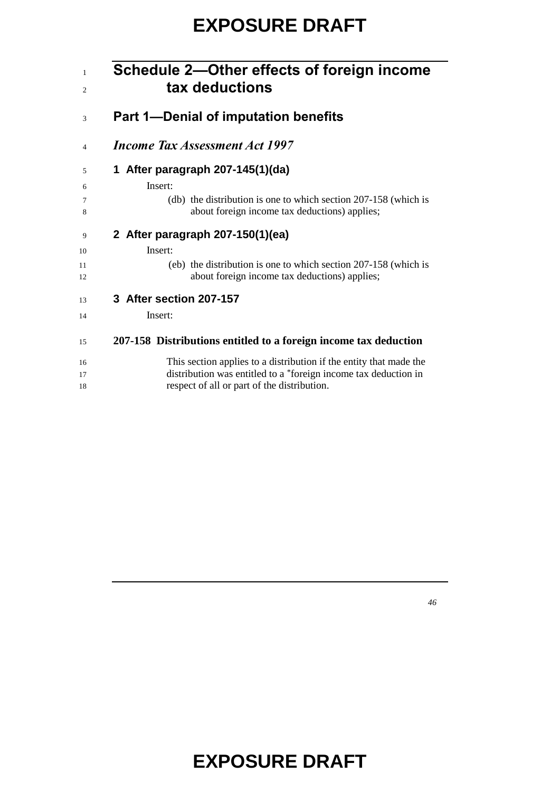| Schedule 2-Other effects of foreign income<br>tax deductions                                                       |
|--------------------------------------------------------------------------------------------------------------------|
| <b>Part 1-Denial of imputation benefits</b>                                                                        |
| <b>Income Tax Assessment Act 1997</b>                                                                              |
| 1 After paragraph 207-145(1)(da)                                                                                   |
| Insert:                                                                                                            |
| (db) the distribution is one to which section $207-158$ (which is<br>about foreign income tax deductions) applies; |
| 2 After paragraph 207-150(1)(ea)                                                                                   |
| Insert:                                                                                                            |
| (eb) the distribution is one to which section 207-158 (which is<br>about foreign income tax deductions) applies;   |
| 3 After section 207-157                                                                                            |
| Insert:                                                                                                            |
| 207-158 Distributions entitled to a foreign income tax deduction                                                   |
| This section applies to a distribution if the entity that made the                                                 |
| distribution was entitled to a *foreign income tax deduction in                                                    |
| respect of all or part of the distribution.                                                                        |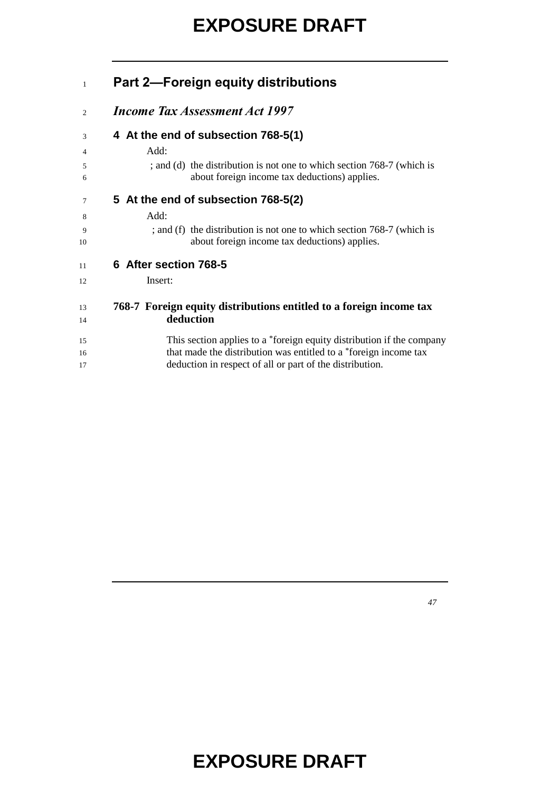| $\mathbf{1}$ | <b>Part 2-Foreign equity distributions</b>                                                                              |
|--------------|-------------------------------------------------------------------------------------------------------------------------|
| 2            | <b>Income Tax Assessment Act 1997</b>                                                                                   |
| 3            | 4 At the end of subsection 768-5(1)                                                                                     |
| 4            | Add:                                                                                                                    |
| 5<br>6       | ; and (d) the distribution is not one to which section 768-7 (which is<br>about foreign income tax deductions) applies. |
| 7            | 5 At the end of subsection 768-5(2)                                                                                     |
| 8            | Add:                                                                                                                    |
| 9<br>10      | ; and (f) the distribution is not one to which section 768-7 (which is<br>about foreign income tax deductions) applies. |
| 11           | 6 After section 768-5                                                                                                   |
| 12           | Insert:                                                                                                                 |
| 13           | 768-7 Foreign equity distributions entitled to a foreign income tax                                                     |
| 14           | deduction                                                                                                               |
| 15           | This section applies to a *foreign equity distribution if the company                                                   |
| 16           | that made the distribution was entitled to a *foreign income tax                                                        |
| 17           | deduction in respect of all or part of the distribution.                                                                |